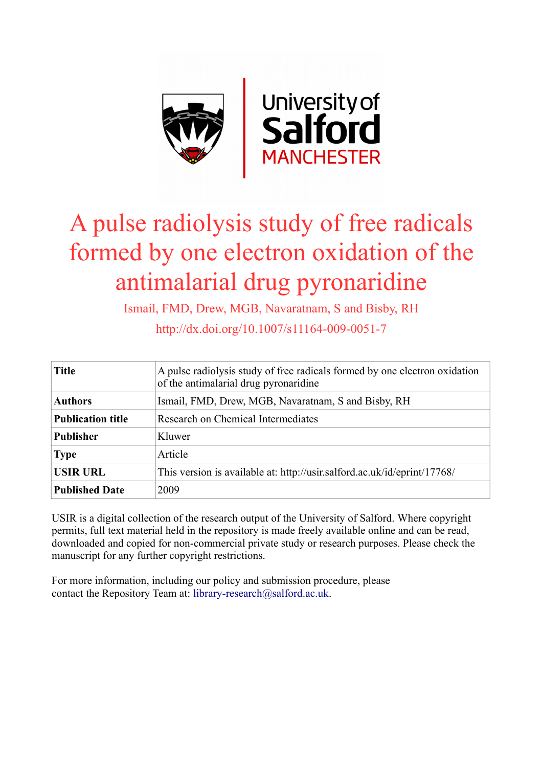

# A pulse radiolysis study of free radicals formed by one electron oxidation of the antimalarial drug pyronaridine

Ismail, FMD, Drew, MGB, Navaratnam, S and Bisby, RH

http://dx.doi.org/10.1007/s11164-009-0051-7

| <b>Title</b>             | A pulse radiolysis study of free radicals formed by one electron oxidation<br>of the antimalarial drug pyronaridine |
|--------------------------|---------------------------------------------------------------------------------------------------------------------|
| <b>Authors</b>           | Ismail, FMD, Drew, MGB, Navaratnam, S and Bisby, RH                                                                 |
| <b>Publication title</b> | Research on Chemical Intermediates                                                                                  |
| <b>Publisher</b>         | Kluwer                                                                                                              |
| <b>Type</b>              | Article                                                                                                             |
| <b>USIR URL</b>          | This version is available at: http://usir.salford.ac.uk/id/eprint/17768/                                            |
| <b>Published Date</b>    | 2009                                                                                                                |

USIR is a digital collection of the research output of the University of Salford. Where copyright permits, full text material held in the repository is made freely available online and can be read, downloaded and copied for non-commercial private study or research purposes. Please check the manuscript for any further copyright restrictions.

For more information, including our policy and submission procedure, please contact the Repository Team at: [library-research@salford.ac.uk.](mailto:library-research@salford.ac.uk)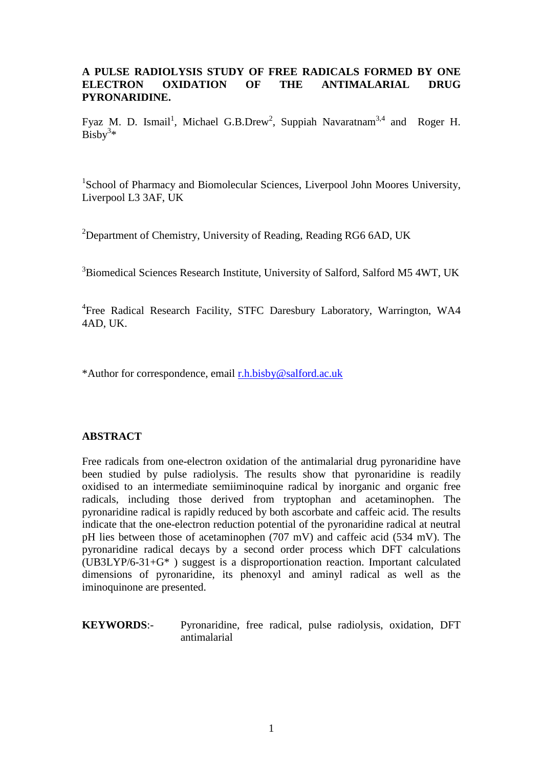### **A PULSE RADIOLYSIS STUDY OF FREE RADICALS FORMED BY ONE ELECTRON OXIDATION OF THE ANTIMALARIAL DRUG PYRONARIDINE.**

Fyaz M. D. Ismail<sup>1</sup>, Michael G.B.Drew<sup>2</sup>, Suppiah Navaratnam<sup>3,4</sup> and Roger H.  $Bisby<sup>3</sup>$ \*

<sup>1</sup>School of Pharmacy and Biomolecular Sciences, Liverpool John Moores University, Liverpool L3 3AF, UK

<sup>2</sup>Department of Chemistry, University of Reading, Reading RG6 6AD, UK

<sup>3</sup>Biomedical Sciences Research Institute, University of Salford, Salford M5 4WT, UK

<sup>4</sup>Free Radical Research Facility, STFC Daresbury Laboratory, Warrington, WA4 4AD, UK.

\*Author for correspondence, email [r.h.bisby@salford.ac.uk](mailto:r.h.bisby@salford.ac.uk)

### **ABSTRACT**

Free radicals from one-electron oxidation of the antimalarial drug pyronaridine have been studied by pulse radiolysis. The results show that pyronaridine is readily oxidised to an intermediate semiiminoquine radical by inorganic and organic free radicals, including those derived from tryptophan and acetaminophen. The pyronaridine radical is rapidly reduced by both ascorbate and caffeic acid. The results indicate that the one-electron reduction potential of the pyronaridine radical at neutral pH lies between those of acetaminophen (707 mV) and caffeic acid (534 mV). The pyronaridine radical decays by a second order process which DFT calculations (UB3LYP/6-31+G\* ) suggest is a disproportionation reaction. Important calculated dimensions of pyronaridine, its phenoxyl and aminyl radical as well as the iminoquinone are presented.

**KEYWORDS**:- Pyronaridine, free radical, pulse radiolysis, oxidation, DFT antimalarial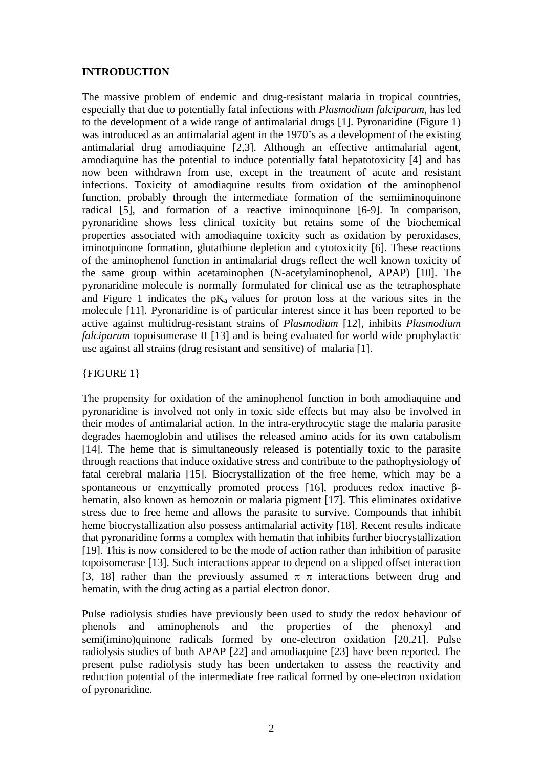### **INTRODUCTION**

The massive problem of endemic and drug-resistant malaria in tropical countries, especially that due to potentially fatal infections with *Plasmodium falciparum*, has led to the development of a wide range of antimalarial drugs [1]. Pyronaridine (Figure 1) was introduced as an antimalarial agent in the 1970's as a development of the existing antimalarial drug amodiaquine [2,3]. Although an effective antimalarial agent, amodiaquine has the potential to induce potentially fatal hepatotoxicity [4] and has now been withdrawn from use, except in the treatment of acute and resistant infections. Toxicity of amodiaquine results from oxidation of the aminophenol function, probably through the intermediate formation of the semiiminoquinone radical [5], and formation of a reactive iminoquinone [6-9]. In comparison, pyronaridine shows less clinical toxicity but retains some of the biochemical properties associated with amodiaquine toxicity such as oxidation by peroxidases, iminoquinone formation, glutathione depletion and cytotoxicity [6]. These reactions of the aminophenol function in antimalarial drugs reflect the well known toxicity of the same group within acetaminophen (N-acetylaminophenol, APAP) [10]. The pyronaridine molecule is normally formulated for clinical use as the tetraphosphate and Figure 1 indicates the  $pK_a$  values for proton loss at the various sites in the molecule [11]. Pyronaridine is of particular interest since it has been reported to be active against multidrug-resistant strains of *Plasmodium* [12], inhibits *Plasmodium falciparum* topoisomerase II [13] and is being evaluated for world wide prophylactic use against all strains (drug resistant and sensitive) of malaria [1].

### {FIGURE 1}

The propensity for oxidation of the aminophenol function in both amodiaquine and pyronaridine is involved not only in toxic side effects but may also be involved in their modes of antimalarial action. In the intra-erythrocytic stage the malaria parasite degrades haemoglobin and utilises the released amino acids for its own catabolism [14]. The heme that is simultaneously released is potentially toxic to the parasite through reactions that induce oxidative stress and contribute to the pathophysiology of fatal cerebral malaria [15]. Biocrystallization of the free heme, which may be a spontaneous or enzymically promoted process [16], produces redox inactive βhematin, also known as hemozoin or malaria pigment [17]. This eliminates oxidative stress due to free heme and allows the parasite to survive. Compounds that inhibit heme biocrystallization also possess antimalarial activity [18]. Recent results indicate that pyronaridine forms a complex with hematin that inhibits further biocrystallization [19]. This is now considered to be the mode of action rather than inhibition of parasite topoisomerase [13]. Such interactions appear to depend on a slipped offset interaction [3, 18] rather than the previously assumed  $\pi-\pi$  interactions between drug and hematin, with the drug acting as a partial electron donor.

Pulse radiolysis studies have previously been used to study the redox behaviour of phenols and aminophenols and the properties of the phenoxyl and semi(imino)quinone radicals formed by one-electron oxidation [20,21]. Pulse radiolysis studies of both APAP [22] and amodiaquine [23] have been reported. The present pulse radiolysis study has been undertaken to assess the reactivity and reduction potential of the intermediate free radical formed by one-electron oxidation of pyronaridine.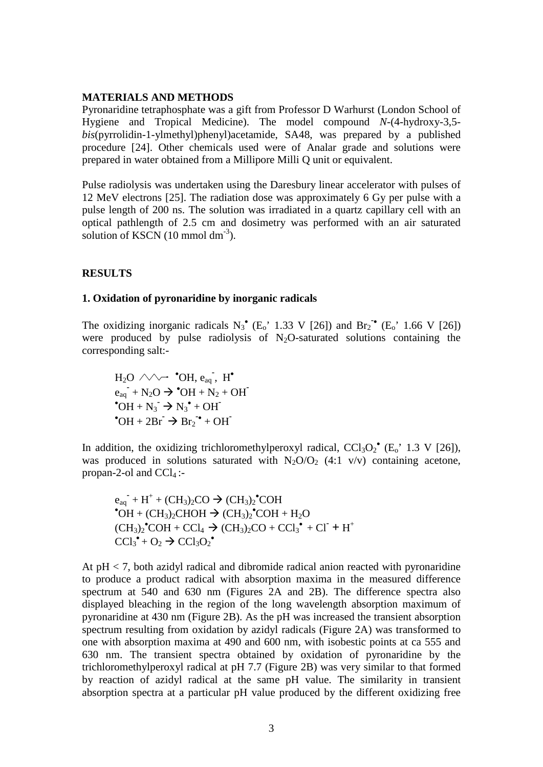#### **MATERIALS AND METHODS**

Pyronaridine tetraphosphate was a gift from Professor D Warhurst (London School of Hygiene and Tropical Medicine). The model compound *N*-(4-hydroxy-3,5 *bis*(pyrrolidin-1-ylmethyl)phenyl)acetamide, SA48, was prepared by a published procedure [24]. Other chemicals used were of Analar grade and solutions were prepared in water obtained from a Millipore Milli Q unit or equivalent.

Pulse radiolysis was undertaken using the Daresbury linear accelerator with pulses of 12 MeV electrons [25]. The radiation dose was approximately 6 Gy per pulse with a pulse length of 200 ns. The solution was irradiated in a quartz capillary cell with an optical pathlength of 2.5 cm and dosimetry was performed with an air saturated solution of KSCN (10 mmol dm<sup>-3</sup>).

### **RESULTS**

#### **1. Oxidation of pyronaridine by inorganic radicals**

The oxidizing inorganic radicals  $N_3^{\bullet}$  (E<sub>o</sub>' 1.33 V [26]) and  $Br_2^{\bullet}$  (E<sub>o</sub>' 1.66 V [26]) were produced by pulse radiolysis of  $N_2O$ -saturated solutions containing the corresponding salt:-

 $H_2O \wedge \rightarrow \bullet$  **OH**,  $e_{aq}$ ,  $H^{\bullet}$  $e_{aq}$  + N<sub>2</sub>O  $\rightarrow$  <sup>\*</sup>OH + N<sub>2</sub> + OH<sup>+</sup>  $\bullet$  OH + N<sub>3</sub>  $\rightarrow$  N<sub>3</sub> $\bullet$  + OH<sup>-</sup>  $\bullet$  OH + 2Br  $\rightarrow$  Br<sub>2</sub> $\bullet$  + OH

In addition, the oxidizing trichloromethylperoxyl radical,  $CCl<sub>3</sub>O<sub>2</sub><sup>*</sup> (E<sub>o</sub><sup>*</sup> 1.3 V [26]),$ was produced in solutions saturated with  $N_2O/O_2$  (4:1 v/v) containing acetone, propan-2-ol and  $CCl<sub>4</sub>$ :-

eaq **-** + H+ + (CH3)2CO (CH3)2 • COH •  $\overrightarrow{OH} + (\text{CH}_3)_2\text{CHOH} \rightarrow (\text{CH}_3)_2\text{^*COH} + \text{H}_2\text{O}$  $(CH_3)_2$ <sup>•</sup>COH + CCl<sub>4</sub>  $\rightarrow$   $(CH_3)_2$ CO + CCl<sub>3</sub><sup>•</sup> + Cl<sup>-</sup> + H<sup>+</sup>  $\text{CCl}_3^{\bullet} + \text{O}_2 \rightarrow \text{CCl}_3\text{O}_2^{\bullet}$ 

At pH < 7, both azidyl radical and dibromide radical anion reacted with pyronaridine to produce a product radical with absorption maxima in the measured difference spectrum at 540 and 630 nm (Figures 2A and 2B). The difference spectra also displayed bleaching in the region of the long wavelength absorption maximum of pyronaridine at 430 nm (Figure 2B). As the pH was increased the transient absorption spectrum resulting from oxidation by azidyl radicals (Figure 2A) was transformed to one with absorption maxima at 490 and 600 nm, with isobestic points at ca 555 and 630 nm. The transient spectra obtained by oxidation of pyronaridine by the trichloromethylperoxyl radical at pH 7.7 (Figure 2B) was very similar to that formed by reaction of azidyl radical at the same pH value. The similarity in transient absorption spectra at a particular pH value produced by the different oxidizing free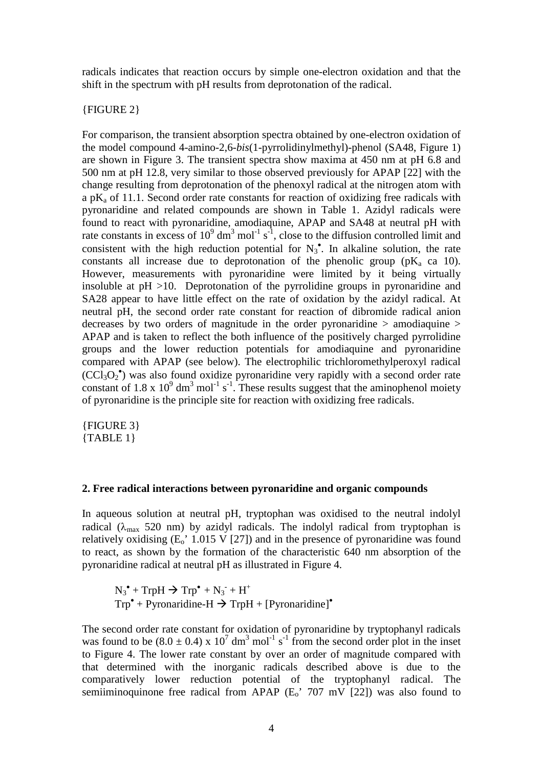radicals indicates that reaction occurs by simple one-electron oxidation and that the shift in the spectrum with pH results from deprotonation of the radical.

### {FIGURE 2}

For comparison, the transient absorption spectra obtained by one-electron oxidation of the model compound 4-amino-2,6-*bis*(1-pyrrolidinylmethyl)-phenol (SA48, Figure 1) are shown in Figure 3. The transient spectra show maxima at 450 nm at pH 6.8 and 500 nm at pH 12.8, very similar to those observed previously for APAP [22] with the change resulting from deprotonation of the phenoxyl radical at the nitrogen atom with a p $K_a$  of 11.1. Second order rate constants for reaction of oxidizing free radicals with pyronaridine and related compounds are shown in Table 1. Azidyl radicals were found to react with pyronaridine, amodiaquine, APAP and SA48 at neutral pH with rate constants in excess of  $10^9$  dm<sup>3</sup> mol<sup>-1</sup> s<sup>-1</sup>, close to the diffusion controlled limit and consistent with the high reduction potential for  $N_3$ <sup>\*</sup>. In alkaline solution, the rate constants all increase due to deprotonation of the phenolic group ( $pK_a$  ca 10). However, measurements with pyronaridine were limited by it being virtually insoluble at pH >10. Deprotonation of the pyrrolidine groups in pyronaridine and SA28 appear to have little effect on the rate of oxidation by the azidyl radical. At neutral pH, the second order rate constant for reaction of dibromide radical anion decreases by two orders of magnitude in the order pyronaridine > amodiaquine > APAP and is taken to reflect the both influence of the positively charged pyrrolidine groups and the lower reduction potentials for amodiaquine and pyronaridine compared with APAP (see below). The electrophilic trichloromethylperoxyl radical (CCl3O2 • ) was also found oxidize pyronaridine very rapidly with a second order rate constant of 1.8 x  $10^9$  dm<sup>3</sup> mol<sup>-1</sup> s<sup>-1</sup>. These results suggest that the aminophenol moiety of pyronaridine is the principle site for reaction with oxidizing free radicals.

{FIGURE 3} {TABLE 1}

#### **2. Free radical interactions between pyronaridine and organic compounds**

In aqueous solution at neutral pH, tryptophan was oxidised to the neutral indolyl radical ( $\lambda_{\text{max}}$  520 nm) by azidyl radicals. The indolyl radical from tryptophan is relatively oxidising  $(E_0' 1.015 V [27])$  and in the presence of pyronaridine was found to react, as shown by the formation of the characteristic 640 nm absorption of the pyronaridine radical at neutral pH as illustrated in Figure 4.

 $N_3^{\bullet}$  + TrpH  $\rightarrow$  Trp<sup> $\bullet$ </sup> +  $N_3^{\bullet}$  + H<sup>+</sup>  $Trp^{\bullet}$  + Pyronaridine-H  $\rightarrow$  TrpH + [Pyronaridine]<sup> $\bullet$ </sup>

The second order rate constant for oxidation of pyronaridine by tryptophanyl radicals was found to be  $(8.0 \pm 0.4) \times 10^7$  dm<sup>3</sup> mol<sup>-1</sup> s<sup>-1</sup> from the second order plot in the inset to Figure 4. The lower rate constant by over an order of magnitude compared with that determined with the inorganic radicals described above is due to the comparatively lower reduction potential of the tryptophanyl radical. The semiiminoquinone free radical from APAP  $(E_0$ <sup>2</sup> 707 mV [22]) was also found to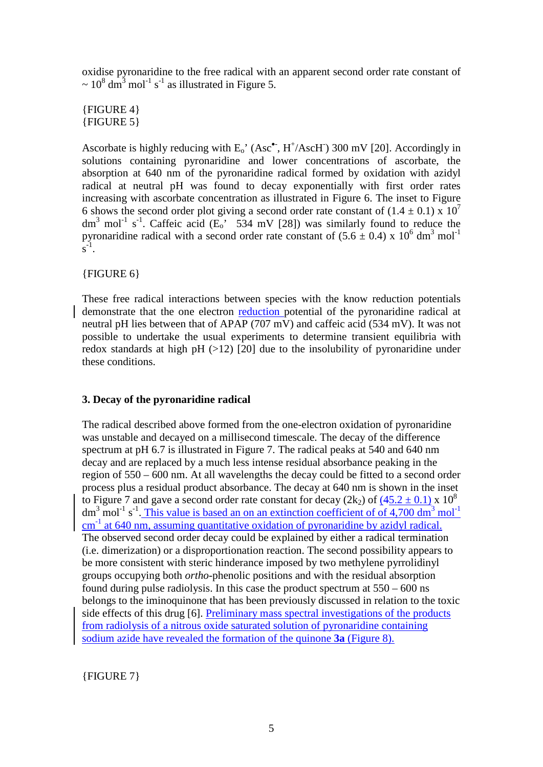oxidise pyronaridine to the free radical with an apparent second order rate constant of  $\sim 10^8$  dm<sup>3</sup> mol<sup>-1</sup> s<sup>-1</sup> as illustrated in Figure 5.

{FIGURE 4} {FIGURE 5}

Ascorbate is highly reducing with  $E_0'$  (Asc<sup>•</sup>, H<sup>+</sup>/AscH<sup>-</sup>) 300 mV [20]. Accordingly in solutions containing pyronaridine and lower concentrations of ascorbate, the absorption at 640 nm of the pyronaridine radical formed by oxidation with azidyl radical at neutral pH was found to decay exponentially with first order rates increasing with ascorbate concentration as illustrated in Figure 6. The inset to Figure 6 shows the second order plot giving a second order rate constant of  $(1.4 \pm 0.1) \times 10^7$ dm<sup>3</sup> mol<sup>-1</sup> s<sup>-1</sup>. Caffeic acid ( $E_0$ <sup>\*</sup> 534 mV [28]) was similarly found to reduce the pyronaridine radical with a second order rate constant of  $(5.6 \pm 0.4)$  x  $10^6$  dm<sup>3</sup> mol<sup>-1</sup>  $\overline{s}^{-1}$ .

{FIGURE 6}

These free radical interactions between species with the know reduction potentials demonstrate that the one electron reduction potential of the pyronaridine radical at neutral pH lies between that of APAP (707 mV) and caffeic acid (534 mV). It was not possible to undertake the usual experiments to determine transient equilibria with redox standards at high pH (>12) [20] due to the insolubility of pyronaridine under these conditions.

### **3. Decay of the pyronaridine radical**

The radical described above formed from the one-electron oxidation of pyronaridine was unstable and decayed on a millisecond timescale. The decay of the difference spectrum at pH 6.7 is illustrated in Figure 7. The radical peaks at 540 and 640 nm decay and are replaced by a much less intense residual absorbance peaking in the region of 550 – 600 nm. At all wavelengths the decay could be fitted to a second order process plus a residual product absorbance. The decay at 640 nm is shown in the inset to Figure 7 and gave a second order rate constant for decay (2k<sub>2</sub>) of (45.2  $\pm$  0.1) x 10<sup>8</sup> dm<sup>3</sup> mol<sup>-1</sup> s<sup>-1</sup>. This value is based an on an extinction coefficient of of 4,700 dm<sup>3</sup> mol<sup>-1</sup> cm<sup>-1</sup> at 640 nm, assuming quantitative oxidation of pyronaridine by azidyl radical. The observed second order decay could be explained by either a radical termination (i.e. dimerization) or a disproportionation reaction. The second possibility appears to be more consistent with steric hinderance imposed by two methylene pyrrolidinyl groups occupying both *ortho*-phenolic positions and with the residual absorption found during pulse radiolysis. In this case the product spectrum at 550 – 600 ns belongs to the iminoquinone that has been previously discussed in relation to the toxic side effects of this drug [6]. Preliminary mass spectral investigations of the products from radiolysis of a nitrous oxide saturated solution of pyronaridine containing sodium azide have revealed the formation of the quinone **3a** (Figure 8).

{FIGURE 7}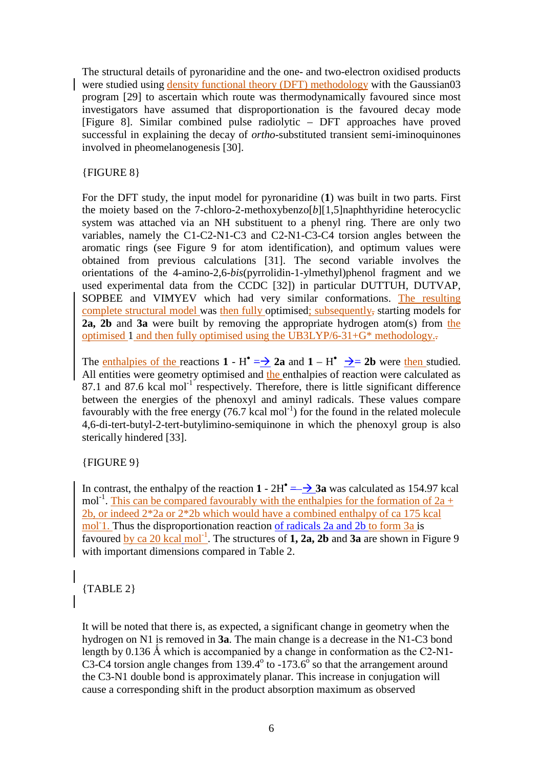The structural details of pyronaridine and the one- and two-electron oxidised products were studied using density functional theory (DFT) methodology with the Gaussian03 program [29] to ascertain which route was thermodynamically favoured since most investigators have assumed that disproportionation is the favoured decay mode [Figure 8]. Similar combined pulse radiolytic – DFT approaches have proved successful in explaining the decay of *ortho*-substituted transient semi-iminoquinones involved in pheomelanogenesis [30].

### {FIGURE 8}

For the DFT study, the input model for pyronaridine (**1**) was built in two parts. First the moiety based on the 7-chloro-2-methoxybenzo[*b*][1,5]naphthyridine heterocyclic system was attached via an NH substituent to a phenyl ring. There are only two variables, namely the C1-C2-N1-C3 and C2-N1-C3-C4 torsion angles between the aromatic rings (see Figure 9 for atom identification), and optimum values were obtained from previous calculations [31]. The second variable involves the orientations of the 4-amino-2,6-*bis*(pyrrolidin-1-ylmethyl)phenol fragment and we used experimental data from the CCDC [32]) in particular DUTTUH, DUTVAP, SOPBEE and VIMYEV which had very similar conformations. The resulting complete structural model was then fully optimised; subsequently, starting models for **2a, 2b** and **3a** were built by removing the appropriate hydrogen atom(s) from the optimised 1 and then fully optimised using the UB3LYP/6-31+G\* methodology..

The **enthalpies of the reactions 1 - H<sup>\*</sup>** =  $\rightarrow$  2a and 1 – H<sup>\*</sup>  $\rightarrow$  = 2b were then studied. All entities were geometry optimised and the enthalpies of reaction were calculated as 87.1 and 87.6 kcal mol<sup>-1</sup> respectively. Therefore, there is little significant difference between the energies of the phenoxyl and aminyl radicals. These values compare favourably with the free energy  $(76.7 \text{ kcal mol}^{-1})$  for the found in the related molecule 4,6-di-tert-butyl-2-tert-butylimino-semiquinone in which the phenoxyl group is also sterically hindered [33].

### {FIGURE 9}

In contrast, the enthalpy of the reaction  $1 - 2H^{\bullet} = \rightarrow 3a$  was calculated as 154.97 kcal mol<sup>-1</sup>. This can be compared favourably with the enthalpies for the formation of  $2a +$ 2b, or indeed 2\*2a or 2\*2b which would have a combined enthalpy of ca 175 kcal mol<sup>1</sup>1. Thus the disproportionation reaction of radicals 2a and 2b to form 3a is favoured by ca 20 kcal mol<sup>-1</sup>. The structures of 1, 2a, 2b and 3a are shown in Figure 9 with important dimensions compared in Table 2.

## {TABLE 2}

It will be noted that there is, as expected, a significant change in geometry when the hydrogen on N1 is removed in **3a**. The main change is a decrease in the N1-C3 bond length by  $0.136 \text{ Å}$  which is accompanied by a change in conformation as the C2-N1-C3-C4 torsion angle changes from  $139.4^{\circ}$  to  $-173.6^{\circ}$  so that the arrangement around the C3-N1 double bond is approximately planar. This increase in conjugation will cause a corresponding shift in the product absorption maximum as observed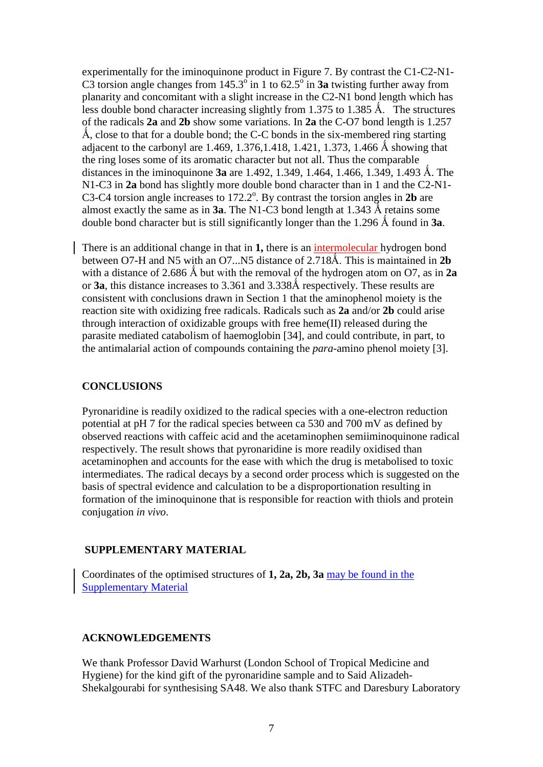experimentally for the iminoquinone product in Figure 7. By contrast the C1-C2-N1- C3 torsion angle changes from  $145.3^\circ$  in 1 to  $62.5^\circ$  in **3a** twisting further away from planarity and concomitant with a slight increase in the C2-N1 bond length which has less double bond character increasing slightly from 1.375 to 1.385 Å. The structures of the radicals **2a** and **2b** show some variations. In **2a** the C-O7 bond length is 1.257 Å, close to that for a double bond; the C-C bonds in the six-membered ring starting adjacent to the carbonyl are 1.469, 1.376, 1.418, 1.421, 1.373, 1.466 Å showing that the ring loses some of its aromatic character but not all. Thus the comparable distances in the iminoquinone **3a** are 1.492, 1.349, 1.464, 1.466, 1.349, 1.493 Å. The N1-C3 in **2a** bond has slightly more double bond character than in 1 and the C2-N1- C3-C4 torsion angle increases to  $172.2^{\circ}$ . By contrast the torsion angles in 2b are almost exactly the same as in **3a**. The N1-C3 bond length at 1.343  $\AA$  retains some double bond character but is still significantly longer than the 1.296  $\AA$  found in **3a**.

There is an additional change in that in **1,** there is an intermolecular hydrogen bond between O7-H and N5 with an O7...N5 distance of 2.718Å. This is maintained in 2**b** with a distance of 2.686  $\AA$  but with the removal of the hydrogen atom on O7, as in 2a or **3a**, this distance increases to 3.361 and 3.338Å respectively. These results are consistent with conclusions drawn in Section 1 that the aminophenol moiety is the reaction site with oxidizing free radicals. Radicals such as **2a** and/or **2b** could arise through interaction of oxidizable groups with free heme(II) released during the parasite mediated catabolism of haemoglobin [34], and could contribute, in part, to the antimalarial action of compounds containing the *para*-amino phenol moiety [3].

### **CONCLUSIONS**

Pyronaridine is readily oxidized to the radical species with a one-electron reduction potential at pH 7 for the radical species between ca 530 and 700 mV as defined by observed reactions with caffeic acid and the acetaminophen semiiminoquinone radical respectively. The result shows that pyronaridine is more readily oxidised than acetaminophen and accounts for the ease with which the drug is metabolised to toxic intermediates. The radical decays by a second order process which is suggested on the basis of spectral evidence and calculation to be a disproportionation resulting in formation of the iminoquinone that is responsible for reaction with thiols and protein conjugation *in vivo*.

### **SUPPLEMENTARY MATERIAL**

Coordinates of the optimised structures of **1, 2a, 2b, 3a** [may](mailto:may) be found in the Supplementary Material

### **ACKNOWLEDGEMENTS**

We thank Professor David Warhurst (London School of Tropical Medicine and Hygiene) for the kind gift of the pyronaridine sample and to Said Alizadeh-Shekalgourabi for synthesising SA48. We also thank STFC and Daresbury Laboratory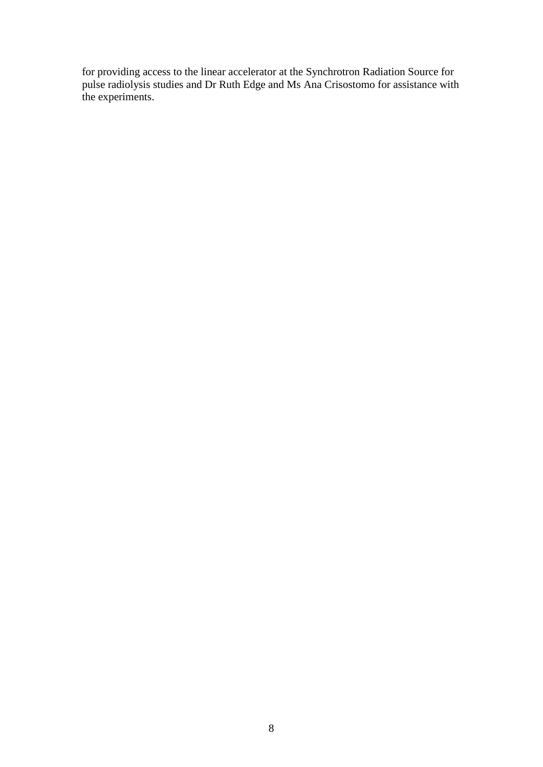for providing access to the linear accelerator at the Synchrotron Radiation Source for pulse radiolysis studies and Dr Ruth Edge and Ms Ana Crisostomo for assistance with the experiments.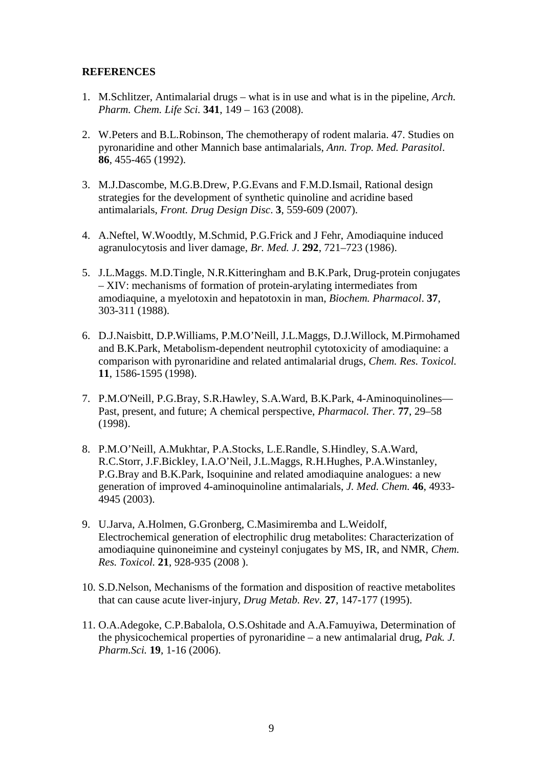### **REFERENCES**

- 1. M.Schlitzer, Antimalarial drugs what is in use and what is in the pipeline, *Arch. Pharm. Chem. Life Sci.* **341**, 149 – 163 (2008).
- 2. W.Peters and B.L.Robinson, The chemotherapy of rodent malaria. 47. Studies on pyronaridine and other Mannich base antimalarials, *Ann. Trop. Med. Parasitol*. **86**, 455-465 (1992).
- 3. M.J.Dascombe, M.G.B.Drew, P.G.Evans and F.M.D.Ismail, Rational design strategies for the development of synthetic quinoline and acridine based antimalarials, *Front. Drug Design Disc*. **3**, 559-609 (2007).
- 4. A.Neftel, W.Woodtly, M.Schmid, P.G.Frick and J Fehr, Amodiaquine induced agranulocytosis and liver damage, *Br. Med. J*. **292**, 721–723 (1986).
- 5. J.L.Maggs. M.D.Tingle, N.R.Kitteringham and B.K.Park, Drug-protein conjugates – XIV: mechanisms of formation of protein-arylating intermediates from amodiaquine, a myelotoxin and hepatotoxin in man, *Biochem. Pharmacol*. **37**, 303-311 (1988).
- 6. D.J.Naisbitt, D.P.Williams, P.M.O'Neill, J.L.Maggs, D.J.Willock, M.Pirmohamed and B.K.Park, Metabolism-dependent neutrophil cytotoxicity of amodiaquine: a comparison with pyronaridine and related antimalarial drugs, *Chem. Res. Toxicol.*  **11**, 1586-1595 (1998).
- 7. P.M.O'Neill, P.G.Bray, S.R.Hawley, S.A.Ward, B.K.Park, 4-Aminoquinolines— Past, present, and future; A chemical perspective, *Pharmacol. Ther.* **77**, 29–58 (1998).
- 8. P.M.O'Neill, A.Mukhtar, P.A.Stocks, L.E.Randle, S.Hindley, S.A.Ward, R.C.Storr, J.F.Bickley, I.A.O'Neil, J.L.Maggs, R.H.Hughes, P.A.Winstanley, P.G.Bray and B.K.Park, Isoquinine and related amodiaquine analogues: a new generation of improved 4-aminoquinoline antimalarials, *J. Med. Chem.* **46**, 4933- 4945 (2003).
- 9. U.Jarva, A.Holmen, G.Gronberg, C.Masimiremba and L.Weidolf, Electrochemical generation of electrophilic drug metabolites: Characterization of amodiaquine quinoneimine and cysteinyl conjugates by MS, IR, and NMR, *Chem. Res. Toxicol.* **21**, 928-935 (2008 ).
- 10. S.D.Nelson, Mechanisms of the formation and disposition of reactive metabolites that can cause acute liver-injury, *Drug Metab. Rev.* **27**, 147-177 (1995).
- 11. O.A.Adegoke, C.P.Babalola, O.S.Oshitade and A.A.Famuyiwa, Determination of the physicochemical properties of pyronaridine – a new antimalarial drug, *Pak. J. Pharm.Sci.* **19**, 1-16 (2006).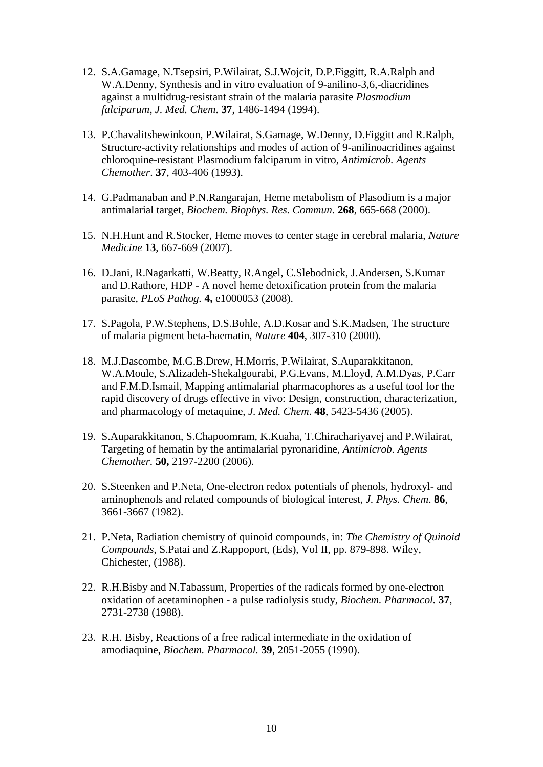- 12. S.A.Gamage, N.Tsepsiri, P.Wilairat, S.J.Wojcit, D.P.Figgitt, R.A.Ralph and W.A.Denny, Synthesis and in vitro evaluation of 9-anilino-3,6,-diacridines against a multidrug-resistant strain of the malaria parasite *Plasmodium falciparum*, *J. Med. Chem*. **37**, 1486-1494 (1994).
- 13. P.Chavalitshewinkoon, P.Wilairat, S.Gamage, W.Denny, D.Figgitt and R.Ralph, Structure-activity relationships and modes of action of 9-anilinoacridines against chloroquine-resistant Plasmodium falciparum in vitro, *Antimicrob. Agents Chemother*. **37**, 403-406 (1993).
- 14. G.Padmanaban and P.N.Rangarajan, Heme metabolism of Plasodium is a major antimalarial target, *Biochem. Biophys. Res. Commun.* **268**, 665-668 (2000).
- 15. N.H.Hunt and R.Stocker, Heme moves to center stage in cerebral malaria, *Nature Medicine* **13**, 667-669 (2007).
- 16. D.Jani, R.Nagarkatti, W.Beatty, R.Angel, C.Slebodnick, J.Andersen, S.Kumar and D.Rathore, HDP - A novel heme detoxification protein from the malaria parasite, *PLoS Pathog.* **4,** e1000053 (2008).
- 17. S.Pagola, P.W.Stephens, D.S.Bohle, A.D.Kosar and S.K.Madsen, The structure of malaria pigment beta-haematin, *Nature* **404**, 307-310 (2000).
- 18. M.J.Dascombe, M.G.B.Drew, H.Morris, P.Wilairat, S.Auparakkitanon, W.A.Moule, S.Alizadeh-Shekalgourabi, P.G.Evans, M.Lloyd, A.M.Dyas, P.Carr and F.M.D.Ismail, Mapping antimalarial pharmacophores as a useful tool for the rapid discovery of drugs effective in vivo: Design, construction, characterization, and pharmacology of metaquine, *J. Med. Chem*. **48**, 5423-5436 (2005).
- 19. S.Auparakkitanon, S.Chapoomram, K.Kuaha, T.Chirachariyavej and P.Wilairat, Targeting of hematin by the antimalarial pyronaridine, *Antimicrob. Agents Chemother.* **50,** 2197-2200 (2006).
- 20. S.Steenken and P.Neta, One-electron redox potentials of phenols, hydroxyl- and aminophenols and related compounds of biological interest, *J. Phys. Chem*. **86**, 3661-3667 (1982).
- 21. P.Neta, Radiation chemistry of quinoid compounds, in: *The Chemistry of Quinoid Compounds*, S.Patai and Z.Rappoport, (Eds), Vol II, pp. 879-898. Wiley, Chichester, (1988).
- 22. R.H.Bisby and N.Tabassum, Properties of the radicals formed by one-electron oxidation of acetaminophen - a pulse radiolysis study, *Biochem. Pharmacol.* **37**, 2731-2738 (1988).
- 23. R.H. Bisby, Reactions of a free radical intermediate in the oxidation of amodiaquine, *Biochem. Pharmacol.* **39**, 2051-2055 (1990).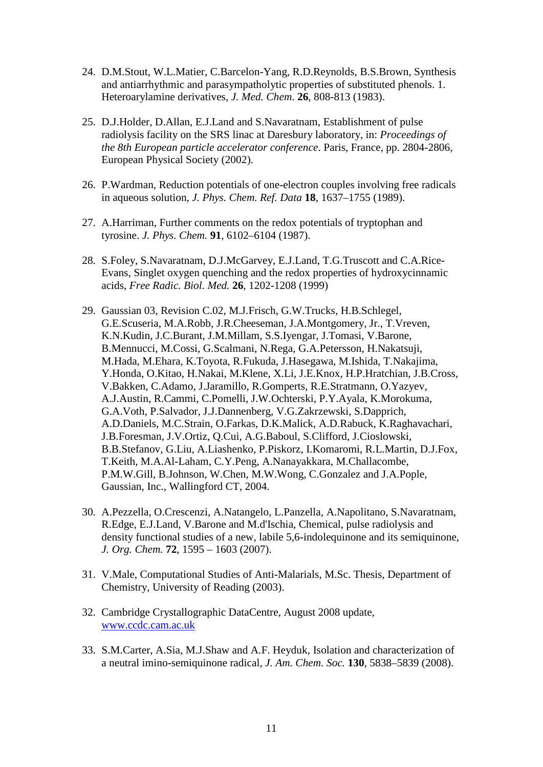- 24. D.M.Stout, W.L.Matier, C.Barcelon-Yang, R.D.Reynolds, B.S.Brown, Synthesis and antiarrhythmic and parasympatholytic properties of substituted phenols. 1. Heteroarylamine derivatives, *J. Med. Chem*. **26**, 808-813 (1983).
- 25. D.J.Holder, D.Allan, E.J.Land and S.Navaratnam, Establishment of pulse radiolysis facility on the SRS linac at Daresbury laboratory, in: *Proceedings of the 8th European particle accelerator conference*. Paris, France, pp. 2804-2806, European Physical Society (2002).
- 26. P.Wardman, Reduction potentials of one-electron couples involving free radicals in aqueous solution, *J. Phys. Chem. Ref. Data* **18**, 1637–1755 (1989).
- 27. A.Harriman, Further comments on the redox potentials of tryptophan and tyrosine. *J. Phys. Chem.* **91**, 6102–6104 (1987).
- 28. S.Foley, S.Navaratnam, D.J.McGarvey, E.J.Land, T.G.Truscott and C.A.Rice-Evans, Singlet oxygen quenching and the redox properties of hydroxycinnamic acids, *Free Radic. Biol. Med.* **26**, 1202-1208 (1999)
- 29. Gaussian 03, Revision C.02, M.J.Frisch, G.W.Trucks, H.B.Schlegel, G.E.Scuseria, M.A.Robb, J.R.Cheeseman, J.A.Montgomery, Jr., T.Vreven, K.N.Kudin, J.C.Burant, J.M.Millam, S.S.Iyengar, J.Tomasi, V.Barone, B.Mennucci, M.Cossi, G.Scalmani, N.Rega, G.A.Petersson, H.Nakatsuji, M.Hada, M.Ehara, K.Toyota, R.Fukuda, J.Hasegawa, M.Ishida, T.Nakajima, Y.Honda, O.Kitao, H.Nakai, M.Klene, X.Li, J.E.Knox, H.P.Hratchian, J.B.Cross, V.Bakken, C.Adamo, J.Jaramillo, R.Gomperts, R.E.Stratmann, O.Yazyev, A.J.Austin, R.Cammi, C.Pomelli, J.W.Ochterski, P.Y.Ayala, K.Morokuma, G.A.Voth, P.Salvador, J.J.Dannenberg, V.G.Zakrzewski, S.Dapprich, A.D.Daniels, M.C.Strain, O.Farkas, D.K.Malick, A.D.Rabuck, K.Raghavachari, J.B.Foresman, J.V.Ortiz, Q.Cui, A.G.Baboul, S.Clifford, J.Cioslowski, B.B.Stefanov, G.Liu, A.Liashenko, P.Piskorz, I.Komaromi, R.L.Martin, D.J.Fox, T.Keith, M.A.Al-Laham, C.Y.Peng, A.Nanayakkara, M.Challacombe, P.M.W.Gill, B.Johnson, W.Chen, M.W.Wong, C.Gonzalez and J.A.Pople, Gaussian, Inc., Wallingford CT, 2004.
- 30. A.Pezzella, O.Crescenzi, A.Natangelo, L.Panzella, A.Napolitano, S.Navaratnam, R.Edge, E.J.Land, V.Barone and M.d'Ischia, Chemical, pulse radiolysis and density functional studies of a new, labile 5,6-indolequinone and its semiquinone, *J. Org. Chem.* **72**, 1595 – 1603 (2007).
- 31. V.Male, Computational Studies of Anti-Malarials, M.Sc. Thesis, Department of Chemistry, University of Reading (2003).
- 32. Cambridge Crystallographic DataCentre, August 2008 update, [www.ccdc.cam.ac.uk](http://www.ccdc.cam.ac.uk/)
- 33. S.M.Carter, A.Sia, M.J.Shaw and A.F. Heyduk, Isolation and characterization of a neutral imino-semiquinone radical, *J. Am. Chem. Soc.* **130**, 5838–5839 (2008).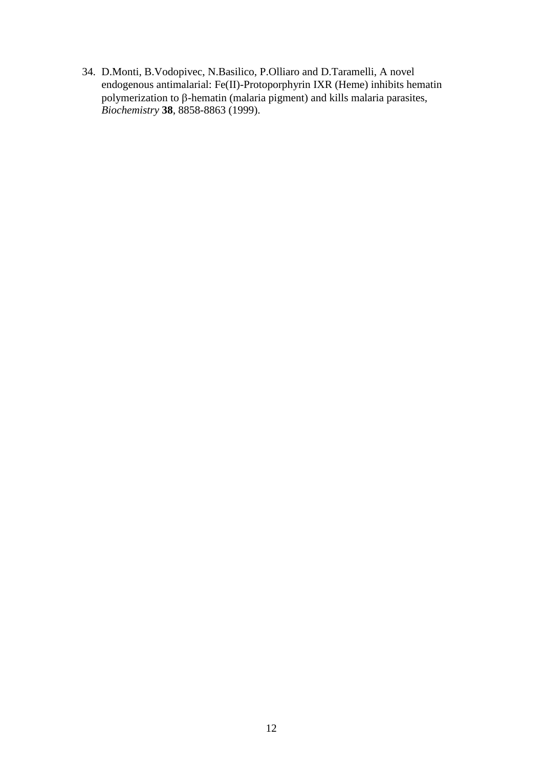34. D.Monti, B.Vodopivec, N.Basilico, P.Olliaro and D.Taramelli, A novel endogenous antimalarial: Fe(II)-Protoporphyrin IXR (Heme) inhibits hematin polymerization to β-hematin (malaria pigment) and kills malaria parasites, *Biochemistry* **38**, 8858-8863 (1999).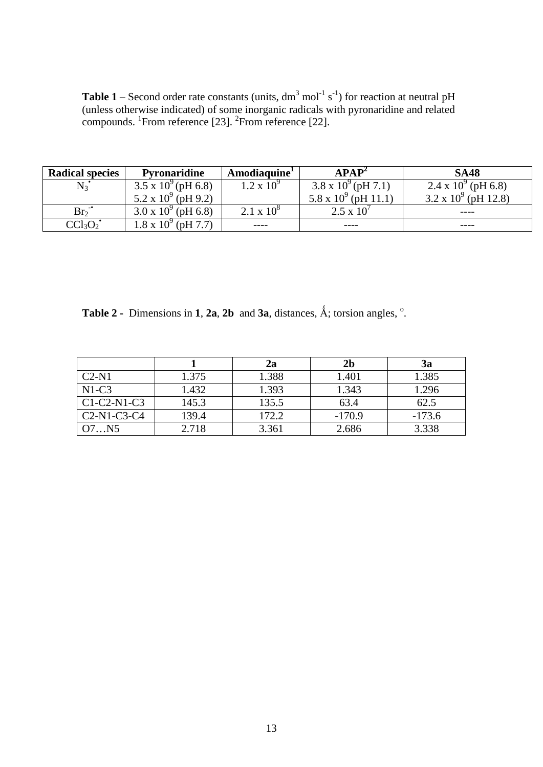**Table 1** – Second order rate constants (units,  $dm<sup>3</sup>$  mol<sup>-1</sup> s<sup>-1</sup>) for reaction at neutral pH (unless otherwise indicated) of some inorganic radicals with pyronaridine and related compounds. <sup>1</sup>From reference [23]. <sup>2</sup>From reference [22].

| <b>Radical species</b>          | <b>Pyronaridine</b>          | Amodiaquine <sup>1</sup> | APAP <sup>2</sup>            | <b>SA48</b>                   |
|---------------------------------|------------------------------|--------------------------|------------------------------|-------------------------------|
| $N_3$                           | $3.5 \times 10^{9}$ (pH 6.8) | $1.2 \times 10^{9}$      | $3.8 \times 10^{9}$ (pH 7.1) | 2.4 x $10^{9}$ (pH 6.8)       |
|                                 | $5.2 \times 10^{9}$ (pH 9.2) |                          | 5.8 x $10^9$ (pH 11.1)       | $3.2 \times 10^{9}$ (pH 12.8) |
| $Br_2$ <sup>-</sup>             | $3.0 \times 10^{9}$ (pH 6.8) | $2.1 \times 10^8$        | $2.5 \times 10^{7}$          | ----                          |
| CCl <sub>3</sub> O <sub>2</sub> | $1.8 \times 10^{9}$ (pH 7.7) | ----                     | ----                         | ----                          |

**Table 2 -** Dimensions in **1**, **2a**, **2b** and **3a**, distances,  $\hat{A}$ ; torsion angles,  $\degree$ .

|               |       | 2a    | 2 <sub>b</sub> | 3a       |
|---------------|-------|-------|----------------|----------|
| $C2-N1$       | 1.375 | 1.388 | 1.401          | 1.385    |
| $N1-C3$       | 1.432 | 1.393 | 1.343          | 1.296    |
| $CI-C2-N1-C3$ | 145.3 | 135.5 | 63.4           | 62.5     |
| $C2-N1-C3-C4$ | 139.4 | 172.2 | $-170.9$       | $-173.6$ |
| O7N5          | 2.718 | 3.361 | 2.686          | 3.338    |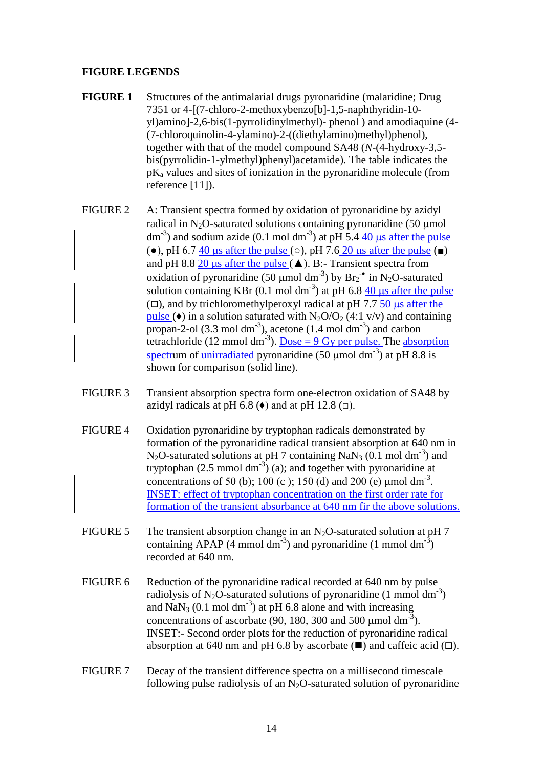### **FIGURE LEGENDS**

- **FIGURE 1** Structures of the antimalarial drugs pyronaridine (malaridine; Drug 7351 or 4-[(7-chloro-2-methoxybenzo[b]-1,5-naphthyridin-10 yl)amino]-2,6-bis(1-pyrrolidinylmethyl)- phenol ) and amodiaquine (4- (7-chloroquinolin-4-ylamino)-2-((diethylamino)methyl)phenol), together with that of the model compound SA48 (*N*-(4-hydroxy-3,5 bis(pyrrolidin-1-ylmethyl)phenyl)acetamide). The table indicates the  $pK_a$  values and sites of ionization in the pyronaridine molecule (from reference [11]).
- FIGURE 2 A: Transient spectra formed by oxidation of pyronaridine by azidyl radical in  $N_2O$ -saturated solutions containing pyronaridine (50 µmol dm<sup>-3</sup>) and sodium azide (0.1 mol dm<sup>-3</sup>) at pH 5.4  $\frac{40}{\mu s}$  after the pulse ( $\bullet$ ), pH 6.7 40 us after the pulse ( $\circ$ ), pH 7.6 20 us after the pulse ( $\bullet$ ) and pH 8.8 20  $\mu$ s after the pulse ( $\blacktriangle$ ). B:- Transient spectra from oxidation of pyronaridine (50  $\mu$ mol dm<sup>-3</sup>) by  $Br_2$ <sup>•</sup> in N<sub>2</sub>O-saturated solution containing KBr (0.1 mol dm<sup>-3</sup>) at pH 6.8  $\frac{40}{\mu s}$  after the pulse  $(D)$ , and by trichloromethylperoxyl radical at pH 7.7 50 us after the pulse ( $\bullet$ ) in a solution saturated with N<sub>2</sub>O/O<sub>2</sub> (4:1 v/v) and containing propan-2-ol  $(3.3 \text{ mol dm}^{-3})$ , acetone  $(1.4 \text{ mol dm}^{-3})$  and carbon tetrachloride (12 mmol dm<sup>-3</sup>). <u>Dose = 9 Gy per pulse.</u> The **absorption** spectrum of *unirradiated* pyronaridine  $(50 \text{ µmol dm}^{-3})$  at pH 8.8 is shown for comparison (solid line).
- FIGURE 3 Transient absorption spectra form one-electron oxidation of SA48 by azidyl radicals at pH 6.8 ( $\blacklozenge$ ) and at pH 12.8 ( $\Box$ ).
- FIGURE 4 Oxidation pyronaridine by tryptophan radicals demonstrated by formation of the pyronaridine radical transient absorption at 640 nm in  $N_2O$ -saturated solutions at pH 7 containing  $NaN_3$  (0.1 mol dm<sup>-3</sup>) and tryptophan  $(2.5 \text{ mmol dm}^{-3})$  (a); and together with pyronaridine at concentrations of 50 (b); 100 (c ); 150 (d) and 200 (e)  $\mu$ mol dm<sup>-3</sup>. INSET: effect of tryptophan concentration on the first order rate for formation of the transient absorbance at 640 nm fir the above solutions.
- FIGURE 5 The transient absorption change in an  $N_2O$ -saturated solution at pH 7 containing APAP  $(4 \text{ mmol dm}^{-3})$  and pyronaridine  $(1 \text{ mmol dm}^{-3})$ recorded at 640 nm.
- FIGURE 6 Reduction of the pyronaridine radical recorded at 640 nm by pulse radiolysis of N<sub>2</sub>O-saturated solutions of pyronaridine (1 mmol dm<sup>-3</sup>) and  $\text{Na}\text{N}_3$  (0.1 mol dm<sup>-3</sup>) at pH 6.8 alone and with increasing concentrations of ascorbate (90, 180, 300 and 500  $\mu$ mol dm<sup>-3</sup>). INSET:- Second order plots for the reduction of pyronaridine radical absorption at 640 nm and pH 6.8 by ascorbate  $(\blacksquare)$  and caffeic acid  $(\square)$ .
- FIGURE 7 Decay of the transient difference spectra on a millisecond timescale following pulse radiolysis of an  $N_2O$ -saturated solution of pyronaridine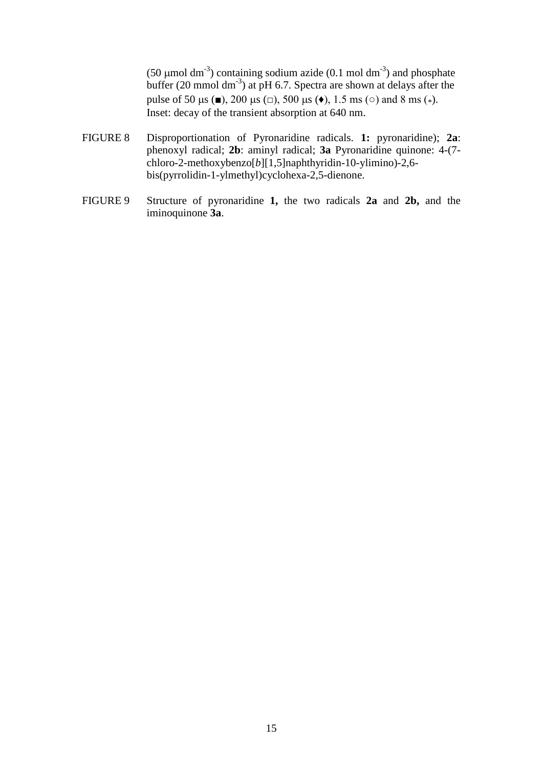(50  $\mu$ mol dm<sup>-3</sup>) containing sodium azide (0.1 mol dm<sup>-3</sup>) and phosphate buffer  $(20 \text{ mmol dm}^{-3})$  at pH 6.7. Spectra are shown at delays after the pulse of 50  $\mu$ s (■), 200  $\mu$ s ( $\Box$ ), 500  $\mu$ s ( $\bullet$ ), 1.5 ms ( $\circ$ ) and 8 ms ( $\ast$ ). Inset: decay of the transient absorption at 640 nm.

- FIGURE 8 Disproportionation of Pyronaridine radicals. **1:** pyronaridine); **2a**: phenoxyl radical; **2b**: aminyl radical; **3a** Pyronaridine quinone: 4-(7 chloro-2-methoxybenzo[*b*][1,5]naphthyridin-10-ylimino)-2,6 bis(pyrrolidin-1-ylmethyl)cyclohexa-2,5-dienone.
- FIGURE 9 Structure of pyronaridine **1,** the two radicals **2a** and **2b,** and the iminoquinone **3a**.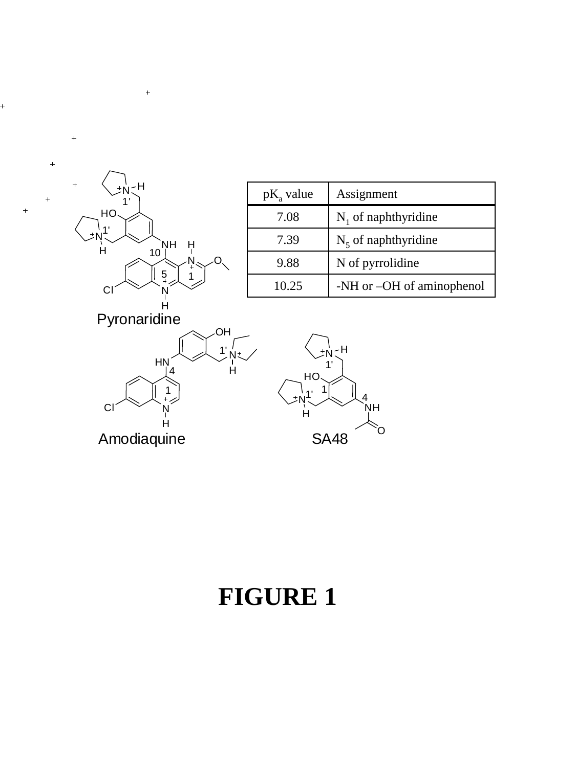

 $\frac{1}{\sqrt{2}}$ 

 $\ddot{\phantom{0}}$ 

 $\ddot{\phantom{0}}$ 

 $\ddot{}$ 

 $\ddot{\phantom{1}}$ 

| $pK_a$ value | Assignment                |
|--------------|---------------------------|
| 7.08         | $N_1$ of naphthyridine    |
| 7.39         | $N_5$ of naphthyridine    |
| 9.88         | N of pyrrolidine          |
| 10.25        | -NH or -OH of aminophenol |

Pyronaridine





# **FIGURE 1**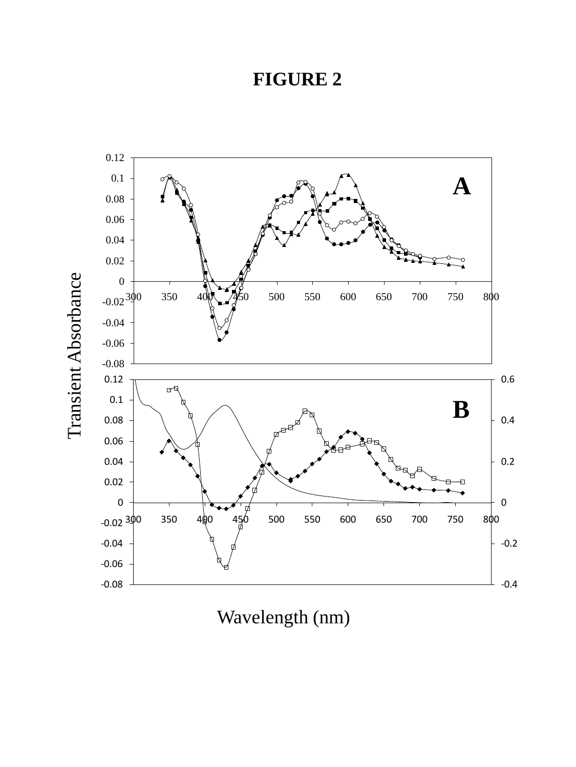

Wavelength (nm)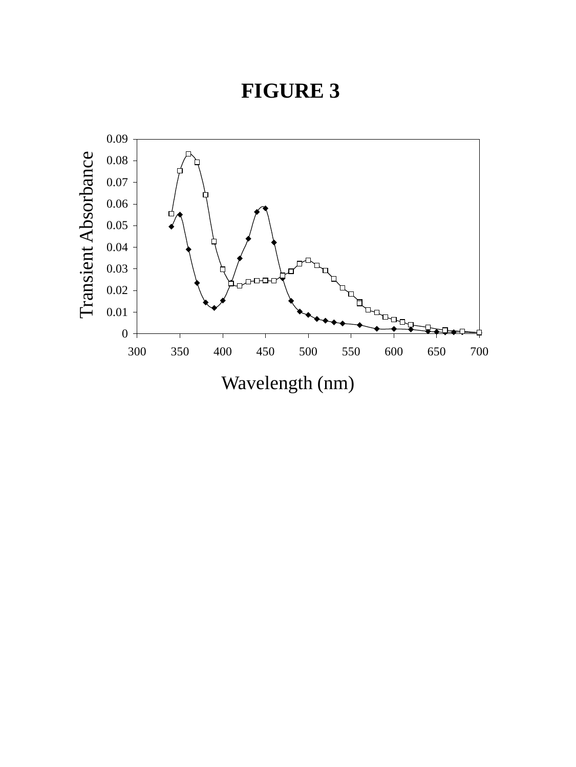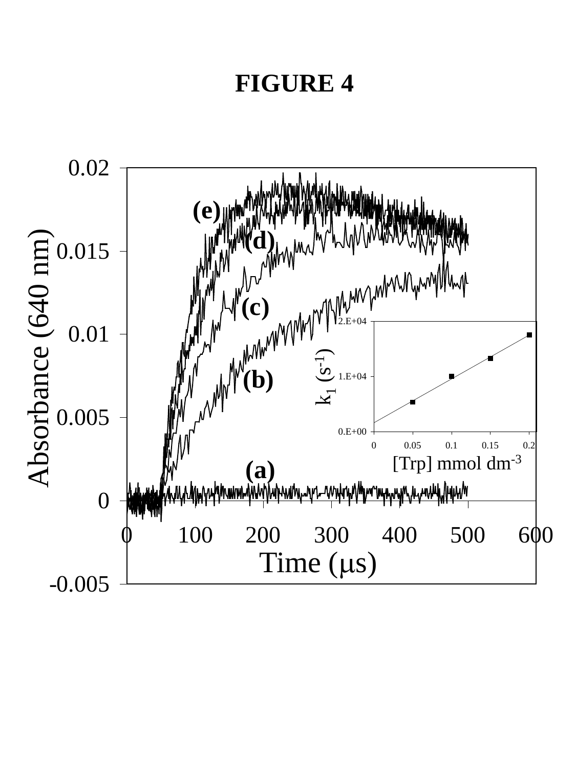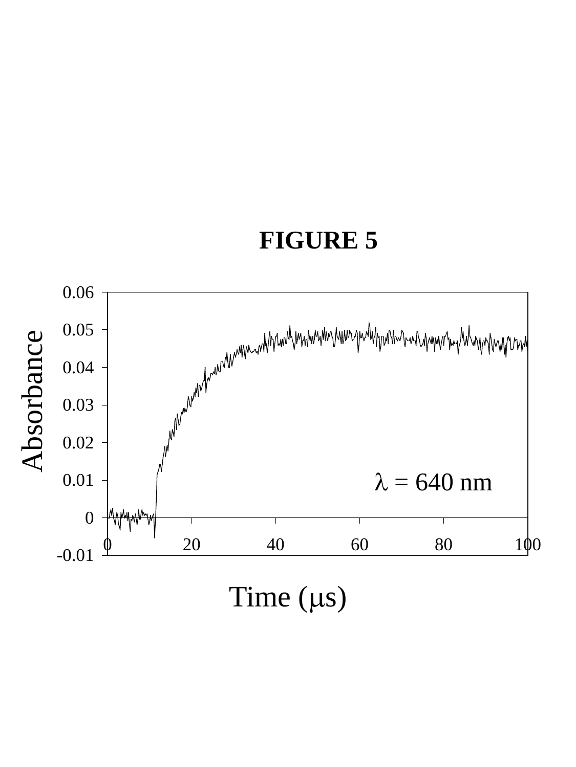

Time  $(\mu s)$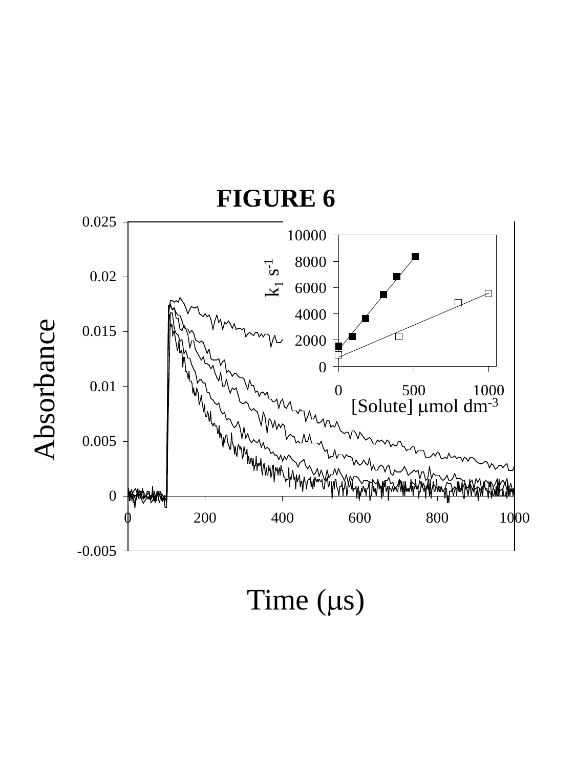

Time  $(\mu s)$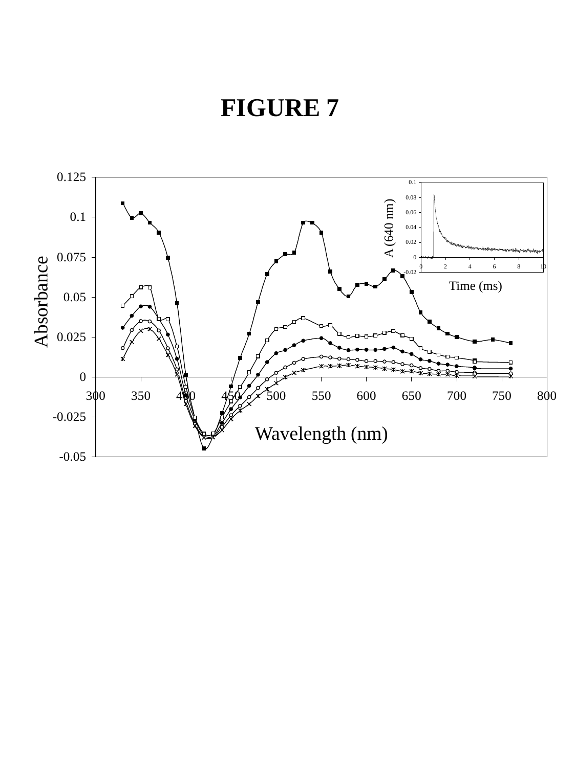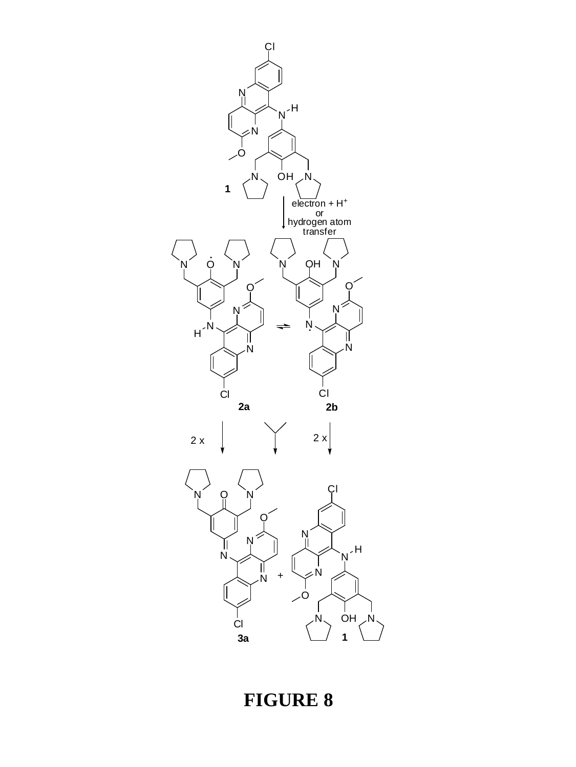

N

O

**1**

N

Cl

 $N$ <sup>H</sup>

 $N_{\sim}$  OH  $_{\sim}$ N

 $e$ lectron + H<sup>+</sup>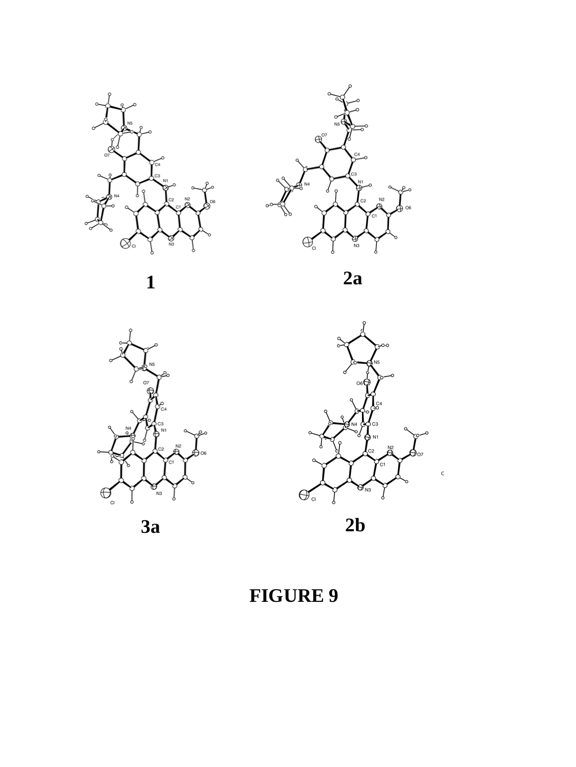



**1**

**2a**





**3a**

**2b**

**FIGURE 9**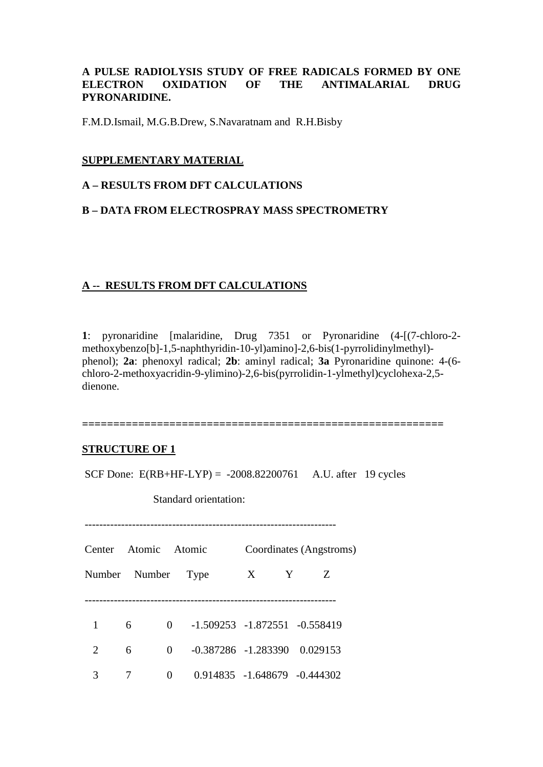### **A PULSE RADIOLYSIS STUDY OF FREE RADICALS FORMED BY ONE ELECTRON OXIDATION OF THE ANTIMALARIAL DRUG PYRONARIDINE.**

F.M.D.Ismail, M.G.B.Drew, S.Navaratnam and R.H.Bisby

### **SUPPLEMENTARY MATERIAL**

### **A – RESULTS FROM DFT CALCULATIONS**

### **B – DATA FROM ELECTROSPRAY MASS SPECTROMETRY**

### **A -- RESULTS FROM DFT CALCULATIONS**

**1**: pyronaridine [malaridine, Drug 7351 or Pyronaridine (4-[(7-chloro-2 methoxybenzo[b]-1,5-naphthyridin-10-yl)amino]-2,6-bis(1-pyrrolidinylmethyl) phenol); **2a**: phenoxyl radical; **2b**: aminyl radical; **3a** Pyronaridine quinone: 4-(6 chloro-2-methoxyacridin-9-ylimino)-2,6-bis(pyrrolidin-1-ylmethyl)cyclohexa-2,5 dienone.

**==========================================================** 

### **STRUCTURE OF 1**

SCF Done:  $E(RB+HF-LYP) = -2008.82200761$  A.U. after 19 cycles

Standard orientation:

| <b>Center</b>         | Atomic Atomic      |          |                                    | Coordinates (Angstroms) |   |   |
|-----------------------|--------------------|----------|------------------------------------|-------------------------|---|---|
|                       | Number Number Type |          |                                    | X                       | Y | Z |
|                       |                    |          |                                    |                         |   |   |
| 1                     | 6                  | $\Omega$ | $-1.509253 - 1.872551 - 0.558419$  |                         |   |   |
| $\mathcal{D}_{\cdot}$ | 6                  | $\Omega$ | $-0.387286$ $-1.283390$ $0.029153$ |                         |   |   |
| 3                     |                    | 0        | $0.914835 - 1.648679 - 0.444302$   |                         |   |   |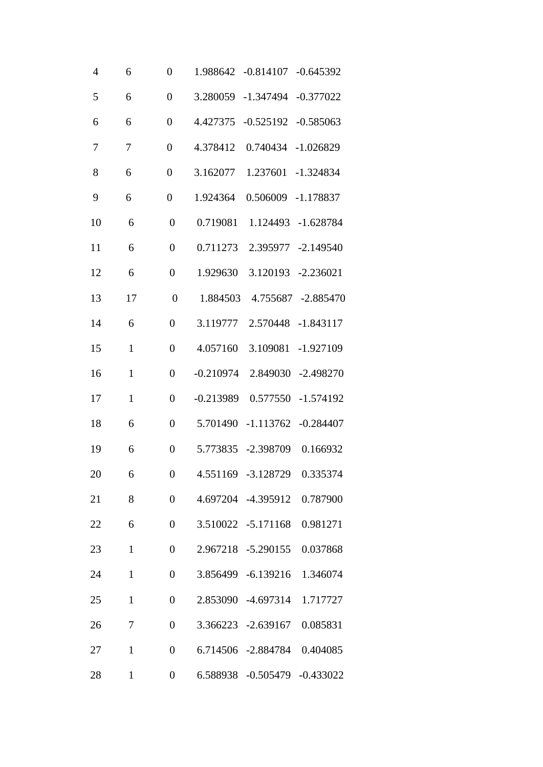| $\overline{4}$ | 6            | $\overline{0}$   |             | 1.988642 -0.814107 -0.645392 |                    |
|----------------|--------------|------------------|-------------|------------------------------|--------------------|
| 5              | 6            | $\overline{0}$   | 3.280059    | $-1.347494$                  | $-0.377022$        |
| 6              | 6            | $\boldsymbol{0}$ | 4.427375    | $-0.525192$                  | $-0.585063$        |
| 7              | 7            | $\overline{0}$   | 4.378412    | 0.740434                     | $-1.026829$        |
| 8              | 6            | $\boldsymbol{0}$ | 3.162077    | 1.237601                     | $-1.324834$        |
| 9              | 6            | $\boldsymbol{0}$ | 1.924364    | 0.506009                     | $-1.178837$        |
| 10             | 6            | $\overline{0}$   | 0.719081    | 1.124493                     | $-1.628784$        |
| 11             | 6            | $\overline{0}$   | 0.711273    |                              | 2.395977 -2.149540 |
| 12             | 6            | $\overline{0}$   | 1.929630    | 3.120193                     | $-2.236021$        |
| 13             | 17           | $\overline{0}$   | 1.884503    | 4.755687                     | $-2.885470$        |
| 14             | 6            | $\overline{0}$   | 3.119777    | 2.570448                     | $-1.843117$        |
| 15             | $\mathbf{1}$ | $\overline{0}$   | 4.057160    | 3.109081                     | $-1.927109$        |
| 16             | $\mathbf{1}$ | $\overline{0}$   | $-0.210974$ | 2.849030                     | $-2.498270$        |
| 17             | $\mathbf{1}$ | $\overline{0}$   | $-0.213989$ | 0.577550                     | $-1.574192$        |
| 18             | 6            | $\overline{0}$   |             | 5.701490 -1.113762           | $-0.284407$        |
| 19             | 6            | $\overline{0}$   |             | 5.773835 -2.398709           | 0.166932           |
| 20             | 6            | $\boldsymbol{0}$ |             | 4.551169 -3.128729 0.335374  |                    |
| 21             | 8            | $\boldsymbol{0}$ |             | 4.697204 -4.395912           | 0.787900           |
| 22             | 6            | $\overline{0}$   |             | 3.510022 -5.171168           | 0.981271           |
| 23             | $\mathbf{1}$ | $\boldsymbol{0}$ |             | 2.967218 -5.290155           | 0.037868           |
| 24             | $\mathbf{1}$ | $\boldsymbol{0}$ |             | 3.856499 -6.139216           | 1.346074           |
| 25             | $\mathbf{1}$ | $\overline{0}$   |             | 2.853090 -4.697314           | 1.717727           |
| 26             | 7            | $\boldsymbol{0}$ |             | 3.366223 -2.639167           | 0.085831           |
| 27             | $\mathbf{1}$ | $\boldsymbol{0}$ |             | 6.714506 -2.884784           | 0.404085           |
| 28             | $\mathbf{1}$ | $\boldsymbol{0}$ |             | 6.588938 -0.505479 -0.433022 |                    |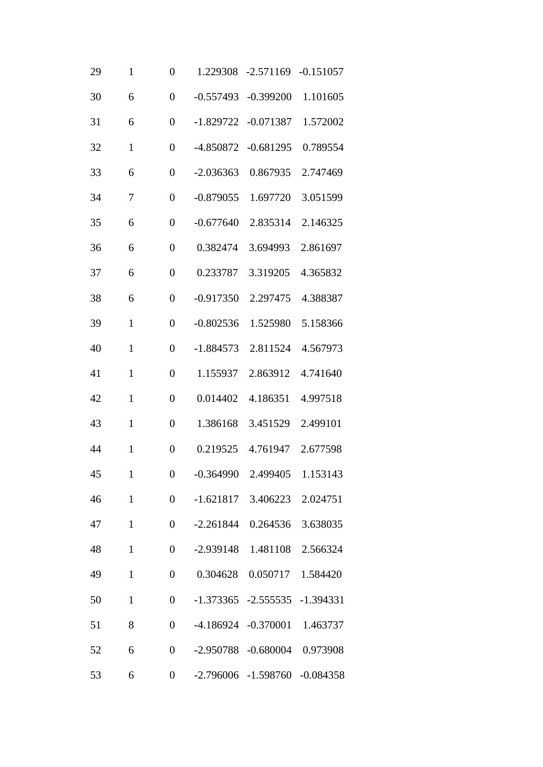| 29 | $\mathbf{1}$ | $\overline{0}$   | 1.229308    | $-2.571169$                         | $-0.151057$ |
|----|--------------|------------------|-------------|-------------------------------------|-------------|
| 30 | 6            | $\overline{0}$   | $-0.557493$ | $-0.399200$                         | 1.101605    |
| 31 | 6            | $\overline{0}$   | $-1.829722$ | $-0.071387$                         | 1.572002    |
| 32 | $\mathbf{1}$ | $\overline{0}$   | -4.850872   | $-0.681295$                         | 0.789554    |
| 33 | 6            | $\overline{0}$   | $-2.036363$ | 0.867935                            | 2.747469    |
| 34 | 7            | $\overline{0}$   | $-0.879055$ | 1.697720                            | 3.051599    |
| 35 | 6            | $\overline{0}$   | $-0.677640$ | 2.835314                            | 2.146325    |
| 36 | 6            | $\overline{0}$   | 0.382474    | 3.694993                            | 2.861697    |
| 37 | 6            | $\overline{0}$   | 0.233787    | 3.319205                            | 4.365832    |
| 38 | 6            | $\overline{0}$   | $-0.917350$ | 2.297475                            | 4.388387    |
| 39 | $\mathbf{1}$ | $\overline{0}$   | $-0.802536$ | 1.525980                            | 5.158366    |
| 40 | $\mathbf{1}$ | $\overline{0}$   | $-1.884573$ | 2.811524                            | 4.567973    |
| 41 | $\mathbf{1}$ | $\overline{0}$   | 1.155937    | 2.863912                            | 4.741640    |
| 42 | $\mathbf{1}$ | $\overline{0}$   | 0.014402    | 4.186351                            | 4.997518    |
| 43 | $\mathbf{1}$ | $\overline{0}$   | 1.386168    | 3.451529                            | 2.499101    |
| 44 | $\mathbf{1}$ | $\overline{0}$   | 0.219525    | 4.761947                            | 2.677598    |
| 45 | $\mathbf{1}$ | $\boldsymbol{0}$ |             | -0.364990 2.499405 1.153143         |             |
| 46 | $\mathbf{1}$ | $\boldsymbol{0}$ |             | $-1.621817$ 3.406223                | 2.024751    |
| 47 | $\mathbf{1}$ | $\overline{0}$   |             | $-2.261844$ 0.264536                | 3.638035    |
| 48 | $\mathbf{1}$ | $\boldsymbol{0}$ |             | -2.939148 1.481108                  | 2.566324    |
| 49 | $\mathbf{1}$ | $\boldsymbol{0}$ | 0.304628    | 0.050717                            | 1.584420    |
| 50 | $\mathbf{1}$ | $\boldsymbol{0}$ |             | $-1.373365$ $-2.555535$ $-1.394331$ |             |
| 51 | 8            | $\boldsymbol{0}$ |             | $-4.186924$ $-0.370001$             | 1.463737    |
| 52 | 6            | $\boldsymbol{0}$ | $-2.950788$ | $-0.680004$                         | 0.973908    |
| 53 | 6            | $\boldsymbol{0}$ |             | -2.796006 -1.598760 -0.084358       |             |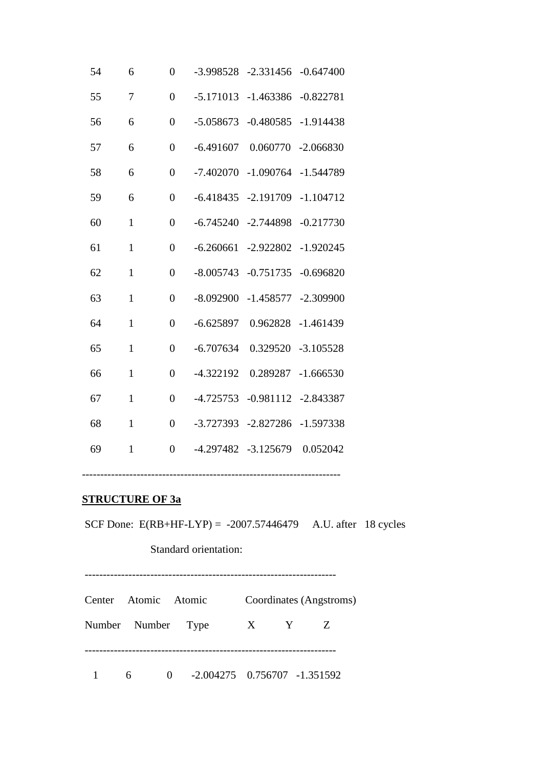| 54 | 6            | $\overline{0}$ | $-3.998528$         | $-2.331456$ | $-0.647400$ |
|----|--------------|----------------|---------------------|-------------|-------------|
| 55 | 7            | $\theta$       | $-5.171013$         | $-1.463386$ | $-0.822781$ |
| 56 | 6            | $\overline{0}$ | $-5.058673$         | $-0.480585$ | $-1.914438$ |
| 57 | 6            | $\overline{0}$ | $-6.491607$         | 0.060770    | $-2.066830$ |
| 58 | 6            | $\overline{0}$ | $-7.402070$         | $-1.090764$ | $-1.544789$ |
| 59 | 6            | $\overline{0}$ | $-6.418435$         | $-2.191709$ | $-1.104712$ |
| 60 | $\mathbf{1}$ | $\overline{0}$ | $-6.745240$         | $-2.744898$ | $-0.217730$ |
| 61 | $\mathbf{1}$ | $\overline{0}$ | $-6.260661$         | $-2.922802$ | $-1.920245$ |
| 62 | $\mathbf{1}$ | $\overline{0}$ | $-8.005743$         | $-0.751735$ | $-0.696820$ |
| 63 | $\mathbf{1}$ | $\overline{0}$ | $-8.092900$         | $-1.458577$ | $-2.309900$ |
| 64 | $\mathbf{1}$ | $\overline{0}$ | $-6.625897$         | 0.962828    | $-1.461439$ |
| 65 | $\mathbf{1}$ | $\overline{0}$ | $-6.707634$         | 0.329520    | $-3.105528$ |
| 66 | $\mathbf{1}$ | $\overline{0}$ | $-4.322192$         | 0.289287    | $-1.666530$ |
| 67 | $\mathbf{1}$ | $\overline{0}$ | $-4.725753$         | $-0.981112$ | $-2.843387$ |
| 68 | $\mathbf{1}$ | $\overline{0}$ | -3.727393           | $-2.827286$ | $-1.597338$ |
| 69 | $\mathbf{1}$ | $\overline{0}$ | -4.297482 -3.125679 |             | 0.052042    |
|    |              |                |                     |             |             |

### **STRUCTURE OF 3a**

SCF Done: E(RB+HF-LYP) = -2007.57446479 A.U. after 18 cycles

Standard orientation:

---------------------------------------------------------------------

-----------------------------------------------------------------------

| Center Atomic Atomic |                |                                  | Coordinates (Angstroms) |  |
|----------------------|----------------|----------------------------------|-------------------------|--|
| Number Number Type   |                |                                  | X Y Z                   |  |
|                      |                |                                  |                         |  |
| $6\overline{6}$      | $\overline{0}$ | $-2.004275$ 0.756707 $-1.351592$ |                         |  |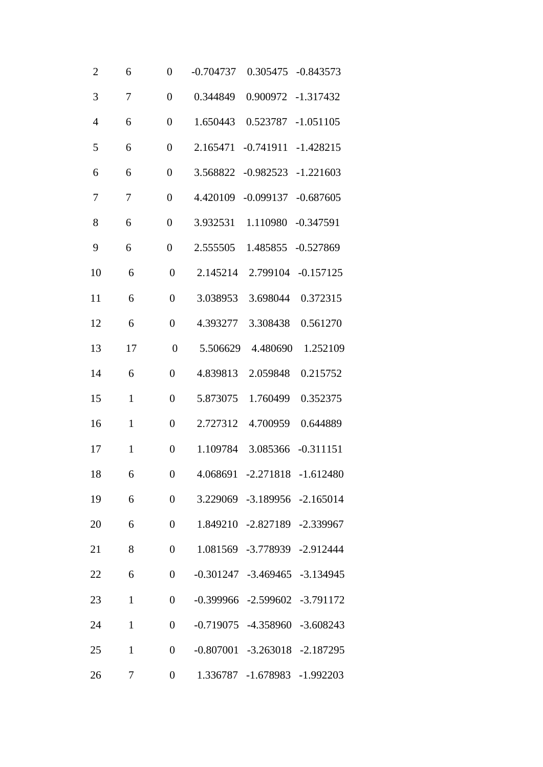| $\overline{2}$ | 6            | $\overline{0}$   | 0.305475<br>$-0.843573$<br>$-0.704737$ |
|----------------|--------------|------------------|----------------------------------------|
| 3              | 7            | $\overline{0}$   | 0.900972<br>$-1.317432$<br>0.344849    |
| $\overline{4}$ | 6            | $\overline{0}$   | 1.650443<br>0.523787<br>$-1.051105$    |
| 5              | 6            | $\overline{0}$   | $-0.741911$<br>2.165471<br>$-1.428215$ |
| 6              | 6            | $\boldsymbol{0}$ | $-0.982523$<br>3.568822<br>$-1.221603$ |
| 7              | 7            | $\overline{0}$   | 4.420109<br>$-0.099137$<br>$-0.687605$ |
| 8              | 6            | $\overline{0}$   | 3.932531<br>1.110980<br>$-0.347591$    |
| 9              | 6            | $\overline{0}$   | 2.555505<br>$-0.527869$<br>1.485855    |
| 10             | 6            | $\overline{0}$   | 2.145214<br>2.799104<br>$-0.157125$    |
| 11             | 6            | $\overline{0}$   | 3.038953<br>3.698044<br>0.372315       |
| 12             | 6            | $\overline{0}$   | 4.393277<br>3.308438<br>0.561270       |
| 13             | 17           | $\overline{0}$   | 5.506629<br>4.480690<br>1.252109       |
| 14             | 6            | $\overline{0}$   | 4.839813<br>2.059848<br>0.215752       |
| 15             | $\mathbf{1}$ | $\overline{0}$   | 5.873075<br>1.760499<br>0.352375       |
| 16             | $\mathbf{1}$ | $\overline{0}$   | 2.727312<br>4.700959<br>0.644889       |
| 17             | $\mathbf{1}$ | $\overline{0}$   | 1.109784<br>3.085366<br>$-0.311151$    |
| 18             | 6            | $\boldsymbol{0}$ | 4.068691 -2.271818 -1.612480           |
| 19             | 6            | $\boldsymbol{0}$ | 3.229069 -3.189956 -2.165014           |
| 20             | 6            | $\overline{0}$   | 1.849210 -2.827189 -2.339967           |
| 21             | 8            | $\overline{0}$   | 1.081569 -3.778939 -2.912444           |
| 22             | 6            | $\boldsymbol{0}$ | $-0.301247$ $-3.469465$ $-3.134945$    |
| 23             | $\mathbf{1}$ | $\overline{0}$   | $-0.399966$ $-2.599602$ $-3.791172$    |
| 24             | $\mathbf{1}$ | $\overline{0}$   | $-0.719075$ $-4.358960$ $-3.608243$    |
| 25             | $\mathbf{1}$ | $\boldsymbol{0}$ | $-0.807001$ $-3.263018$ $-2.187295$    |
| 26             | 7            | $\boldsymbol{0}$ | 1.336787 -1.678983 -1.992203           |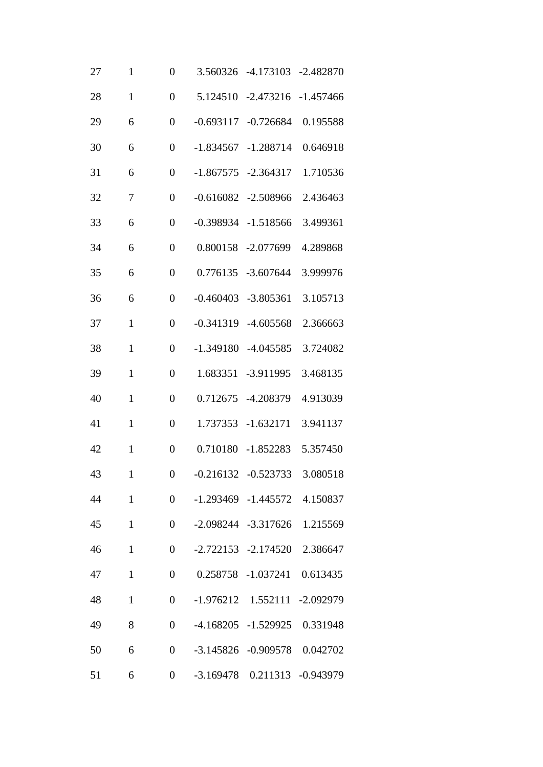| 27 | $\mathbf{1}$ | $\overline{0}$   |             | 3.560326 -4.173103 -2.482870       |             |
|----|--------------|------------------|-------------|------------------------------------|-------------|
| 28 | $\mathbf{1}$ | $\overline{0}$   | 5.124510    | $-2.473216$                        | $-1.457466$ |
| 29 | 6            | $\overline{0}$   | $-0.693117$ | $-0.726684$                        | 0.195588    |
| 30 | 6            | $\overline{0}$   | $-1.834567$ | $-1.288714$                        | 0.646918    |
| 31 | 6            | $\overline{0}$   |             | $-1.867575 - 2.364317$             | 1.710536    |
| 32 | 7            | $\overline{0}$   | $-0.616082$ | $-2.508966$                        | 2.436463    |
| 33 | 6            | $\overline{0}$   | $-0.398934$ | $-1.518566$                        | 3.499361    |
| 34 | 6            | $\overline{0}$   | 0.800158    | $-2.077699$                        | 4.289868    |
| 35 | 6            | $\overline{0}$   | 0.776135    | $-3.607644$                        | 3.999976    |
| 36 | 6            | $\overline{0}$   | $-0.460403$ | $-3.805361$                        | 3.105713    |
| 37 | $\mathbf{1}$ | $\overline{0}$   | $-0.341319$ | $-4.605568$                        | 2.366663    |
| 38 | $\mathbf{1}$ | $\overline{0}$   | $-1.349180$ | $-4.045585$                        | 3.724082    |
| 39 | $\mathbf{1}$ | $\overline{0}$   | 1.683351    | $-3.911995$                        | 3.468135    |
| 40 | $\mathbf{1}$ | $\overline{0}$   | 0.712675    | $-4.208379$                        | 4.913039    |
| 41 | $\mathbf{1}$ | $\overline{0}$   | 1.737353    | $-1.632171$                        | 3.941137    |
| 42 | $\mathbf{1}$ | $\overline{0}$   | 0.710180    | $-1.852283$                        | 5.357450    |
| 43 | $\mathbf{1}$ | $\boldsymbol{0}$ |             | -0.216132 -0.523733 3.080518       |             |
| 44 | $\mathbf{1}$ | $\boldsymbol{0}$ |             | $-1.293469$ $-1.445572$            | 4.150837    |
| 45 | $\mathbf{1}$ | $\overline{0}$   |             | -2.098244 -3.317626 1.215569       |             |
| 46 | $\mathbf{1}$ | $\boldsymbol{0}$ |             | -2.722153 -2.174520                | 2.386647    |
| 47 | $\mathbf{1}$ | $\boldsymbol{0}$ |             | 0.258758 -1.037241                 | 0.613435    |
| 48 | $\mathbf{1}$ | $\overline{0}$   |             | $-1.976212$ $1.552111$ $-2.092979$ |             |
| 49 | 8            | $\boldsymbol{0}$ |             | -4.168205 -1.529925 0.331948       |             |
| 50 | 6            | $\boldsymbol{0}$ |             | $-3.145826$ $-0.909578$            | 0.042702    |
| 51 | 6            | $\boldsymbol{0}$ |             | -3.169478  0.211313  -0.943979     |             |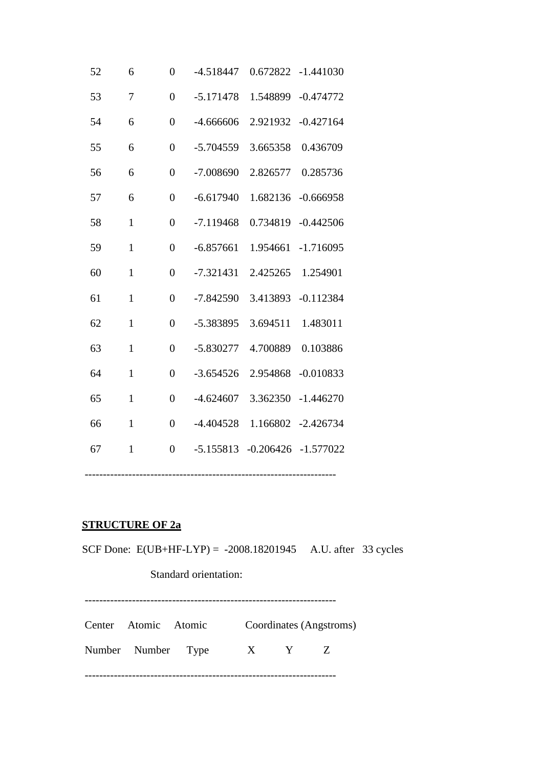| 52 | 6            | $\overline{0}$ | $-4.518447$ | 0.672822    | $-1.441030$ |
|----|--------------|----------------|-------------|-------------|-------------|
| 53 | 7            | $\overline{0}$ | $-5.171478$ | 1.548899    | $-0.474772$ |
| 54 | 6            | $\overline{0}$ | $-4.666606$ | 2.921932    | $-0.427164$ |
| 55 | 6            | $\overline{0}$ | $-5.704559$ | 3.665358    | 0.436709    |
| 56 | 6            | $\overline{0}$ | $-7.008690$ | 2.826577    | 0.285736    |
| 57 | 6            | $\overline{0}$ | $-6.617940$ | 1.682136    | $-0.666958$ |
| 58 | $\mathbf{1}$ | $\overline{0}$ | $-7.119468$ | 0.734819    | $-0.442506$ |
| 59 | $\mathbf{1}$ | $\overline{0}$ | $-6.857661$ | 1.954661    | $-1.716095$ |
| 60 | $\mathbf{1}$ | $\overline{0}$ | $-7.321431$ | 2.425265    | 1.254901    |
| 61 | $\mathbf{1}$ | $\overline{0}$ | $-7.842590$ | 3.413893    | $-0.112384$ |
| 62 | $\mathbf{1}$ | $\overline{0}$ | -5.383895   | 3.694511    | 1.483011    |
| 63 | $\mathbf{1}$ | $\overline{0}$ | $-5.830277$ | 4.700889    | 0.103886    |
| 64 | $\mathbf{1}$ | $\overline{0}$ | $-3.654526$ | 2.954868    | $-0.010833$ |
| 65 | $\mathbf{1}$ | $\overline{0}$ | $-4.624607$ | 3.362350    | $-1.446270$ |
| 66 | $\mathbf{1}$ | $\overline{0}$ | $-4.404528$ | 1.166802    | $-2.426734$ |
| 67 | $\mathbf{1}$ | $\overline{0}$ | $-5.155813$ | $-0.206426$ | $-1.577022$ |
|    |              |                |             |             |             |

## **STRUCTURE OF 2a**

SCF Done: E(UB+HF-LYP) = -2008.18201945 A.U. after 33 cycles Standard orientation: ---------------------------------------------------------------------

| Center Atomic Atomic |  | Coordinates (Angstroms) |  |
|----------------------|--|-------------------------|--|
| Number Number Type   |  | X Y Z                   |  |
|                      |  |                         |  |

---------------------------------------------------------------------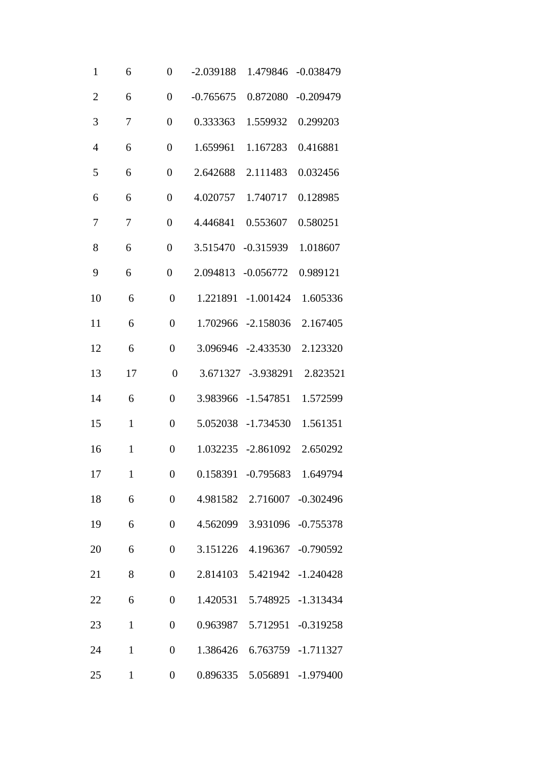| $\mathbf{1}$   | 6            | $\overline{0}$   | $-2.039188$ | 1.479846                    | $-0.038479$        |
|----------------|--------------|------------------|-------------|-----------------------------|--------------------|
| $\overline{2}$ | 6            | $\overline{0}$   | $-0.765675$ | 0.872080                    | $-0.209479$        |
| 3              | 7            | $\boldsymbol{0}$ | 0.333363    | 1.559932                    | 0.299203           |
| $\overline{4}$ | 6            | $\overline{0}$   | 1.659961    | 1.167283                    | 0.416881           |
| 5              | 6            | $\boldsymbol{0}$ | 2.642688    | 2.111483                    | 0.032456           |
| 6              | 6            | $\overline{0}$   | 4.020757    | 1.740717                    | 0.128985           |
| 7              | 7            | $\overline{0}$   | 4.446841    | 0.553607                    | 0.580251           |
| 8              | 6            | $\overline{0}$   | 3.515470    | $-0.315939$                 | 1.018607           |
| 9              | 6            | $\overline{0}$   | 2.094813    | $-0.056772$                 | 0.989121           |
| 10             | 6            | $\overline{0}$   | 1.221891    | $-1.001424$                 | 1.605336           |
| 11             | 6            | $\overline{0}$   | 1.702966    | $-2.158036$                 | 2.167405           |
| 12             | 6            | $\overline{0}$   | 3.096946    | $-2.433530$                 | 2.123320           |
| 13             | 17           | $\overline{0}$   | 3.671327    | $-3.938291$                 | 2.823521           |
| 14             | 6            | $\overline{0}$   | 3.983966    | $-1.547851$                 | 1.572599           |
| 15             | $\mathbf{1}$ | $\overline{0}$   | 5.052038    | $-1.734530$                 | 1.561351           |
| 16             | $\mathbf{1}$ | $\overline{0}$   | 1.032235    | $-2.861092$                 | 2.650292           |
| 17             | $\mathbf{1}$ | $\boldsymbol{0}$ |             | 0.158391 -0.795683 1.649794 |                    |
| 18             | 6            | $\boldsymbol{0}$ | 4.981582    |                             | 2.716007 -0.302496 |
| 19             | 6            | $\overline{0}$   |             | 4.562099 3.931096 -0.755378 |                    |
| 20             | 6            | $\overline{0}$   | 3.151226    |                             | 4.196367 -0.790592 |
| 21             | 8            | $\boldsymbol{0}$ | 2.814103    |                             | 5.421942 -1.240428 |
| 22             | 6            | $\overline{0}$   | 1.420531    |                             | 5.748925 -1.313434 |
| 23             | $\mathbf{1}$ | $\overline{0}$   | 0.963987    |                             | 5.712951 -0.319258 |
| 24             | $\mathbf{1}$ | $\overline{0}$   | 1.386426    |                             | 6.763759 -1.711327 |
| 25             | $\mathbf{1}$ | $\boldsymbol{0}$ | 0.896335    |                             | 5.056891 -1.979400 |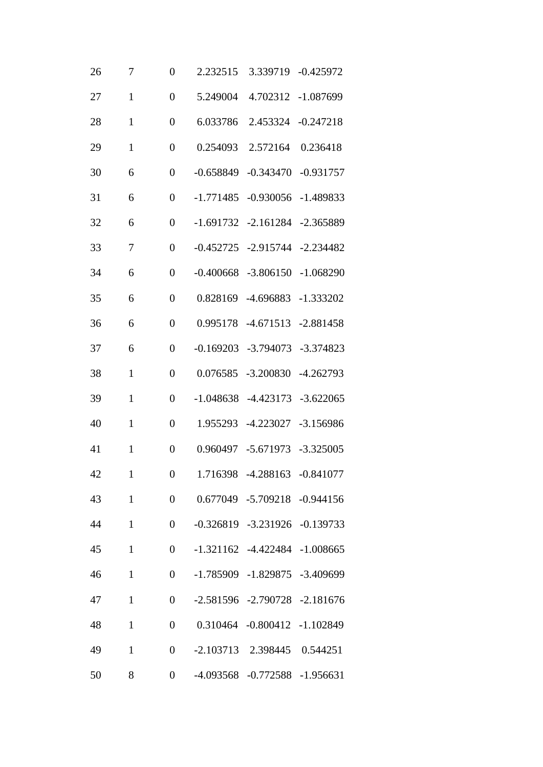| 26 | 7            | $\overline{0}$   | 2.232515    |                                     | 3.339719 -0.425972      |
|----|--------------|------------------|-------------|-------------------------------------|-------------------------|
| 27 | $\mathbf{1}$ | $\overline{0}$   | 5.249004    | 4.702312                            | $-1.087699$             |
| 28 | $\mathbf{1}$ | $\overline{0}$   | 6.033786    | 2.453324                            | $-0.247218$             |
| 29 | $\mathbf{1}$ | $\overline{0}$   | 0.254093    | 2.572164                            | 0.236418                |
| 30 | 6            | $\overline{0}$   | $-0.658849$ | $-0.343470$                         | $-0.931757$             |
| 31 | 6            | $\overline{0}$   | $-1.771485$ | $-0.930056$                         | $-1.489833$             |
| 32 | 6            | $\overline{0}$   | $-1.691732$ | $-2.161284$                         | $-2.365889$             |
| 33 | 7            | $\overline{0}$   | $-0.452725$ |                                     | $-2.915744$ $-2.234482$ |
| 34 | 6            | $\overline{0}$   | $-0.400668$ | $-3.806150$                         | $-1.068290$             |
| 35 | 6            | $\overline{0}$   | 0.828169    | $-4.696883$                         | $-1.333202$             |
| 36 | 6            | $\overline{0}$   | 0.995178    | $-4.671513$                         | $-2.881458$             |
| 37 | 6            | $\overline{0}$   | $-0.169203$ | $-3.794073$                         | $-3.374823$             |
| 38 | $\mathbf{1}$ | $\overline{0}$   | 0.076585    | $-3.200830$                         | $-4.262793$             |
| 39 | $\mathbf{1}$ | $\overline{0}$   | $-1.048638$ | $-4.423173$                         | $-3.622065$             |
| 40 | $\mathbf{1}$ | $\overline{0}$   | 1.955293    | $-4.223027$                         | $-3.156986$             |
| 41 | $\mathbf{1}$ | $\overline{0}$   | 0.960497    | $-5.671973$                         | $-3.325005$             |
| 42 | $\mathbf{1}$ | $\boldsymbol{0}$ |             | 1.716398 -4.288163 -0.841077        |                         |
| 43 | $\mathbf{1}$ | $\boldsymbol{0}$ |             | 0.677049 -5.709218 -0.944156        |                         |
| 44 | $\mathbf{1}$ | $\overline{0}$   |             | $-0.326819$ $-3.231926$ $-0.139733$ |                         |
| 45 | $\mathbf{1}$ | $\boldsymbol{0}$ |             | $-1.321162$ $-4.422484$ $-1.008665$ |                         |
| 46 | $\mathbf{1}$ | $\boldsymbol{0}$ |             | $-1.785909$ $-1.829875$ $-3.409699$ |                         |
| 47 | $\mathbf{1}$ | $\overline{0}$   |             | $-2.581596$ $-2.790728$ $-2.181676$ |                         |
| 48 | $\mathbf{1}$ | $\boldsymbol{0}$ |             | 0.310464 -0.800412 -1.102849        |                         |
| 49 | $\mathbf{1}$ | $\boldsymbol{0}$ |             | -2.103713 2.398445 0.544251         |                         |
| 50 | 8            | $\boldsymbol{0}$ |             | -4.093568 -0.772588 -1.956631       |                         |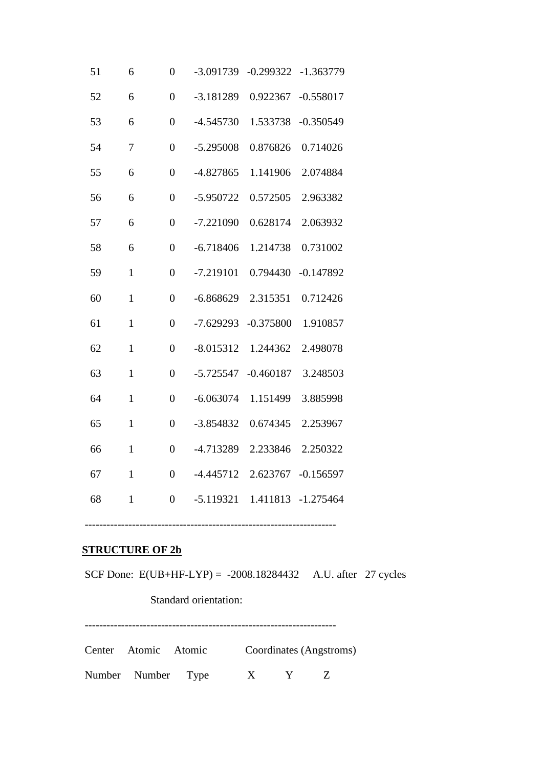| 51 | 6            | $\overline{0}$   | $-3.091739$ | $-0.299322$ | $-1.363779$ |
|----|--------------|------------------|-------------|-------------|-------------|
| 52 | 6            | $\overline{0}$   | $-3.181289$ | 0.922367    | $-0.558017$ |
| 53 | 6            | $\overline{0}$   | $-4.545730$ | 1.533738    | $-0.350549$ |
| 54 | 7            | $\overline{0}$   | $-5.295008$ | 0.876826    | 0.714026    |
| 55 | 6            | $\overline{0}$   | $-4.827865$ | 1.141906    | 2.074884    |
| 56 | 6            | $\overline{0}$   | $-5.950722$ | 0.572505    | 2.963382    |
| 57 | 6            | $\overline{0}$   | $-7.221090$ | 0.628174    | 2.063932    |
| 58 | 6            | $\overline{0}$   | $-6.718406$ | 1.214738    | 0.731002    |
| 59 | $\mathbf{1}$ | $\overline{0}$   | $-7.219101$ | 0.794430    | $-0.147892$ |
| 60 | $\mathbf{1}$ | $\overline{0}$   | $-6.868629$ | 2.315351    | 0.712426    |
| 61 | $\mathbf{1}$ | $\overline{0}$   | $-7.629293$ | $-0.375800$ | 1.910857    |
| 62 | $\mathbf{1}$ | $\overline{0}$   | $-8.015312$ | 1.244362    | 2.498078    |
| 63 | $\mathbf{1}$ | $\overline{0}$   | $-5.725547$ | $-0.460187$ | 3.248503    |
| 64 | $\mathbf{1}$ | $\overline{0}$   | $-6.063074$ | 1.151499    | 3.885998    |
| 65 | $\mathbf{1}$ | $\overline{0}$   | $-3.854832$ | 0.674345    | 2.253967    |
| 66 | $\mathbf{1}$ | $\boldsymbol{0}$ | -4.713289   | 2.233846    | 2.250322    |
| 67 | $\mathbf{1}$ | $\overline{0}$   | $-4.445712$ | 2.623767    | $-0.156597$ |
| 68 | $\mathbf{1}$ | $\overline{0}$   | $-5.119321$ | 1.411813    | $-1.275464$ |
|    |              |                  |             |             |             |

### **STRUCTURE OF 2b**

SCF Done: E(UB+HF-LYP) = -2008.18284432 A.U. after 27 cycles

---------------------------------------------------------------------

Standard orientation:

---------------------------------------------------------------------

Center Atomic Atomic Coordinates (Angstroms)

Number Number Type X Y Z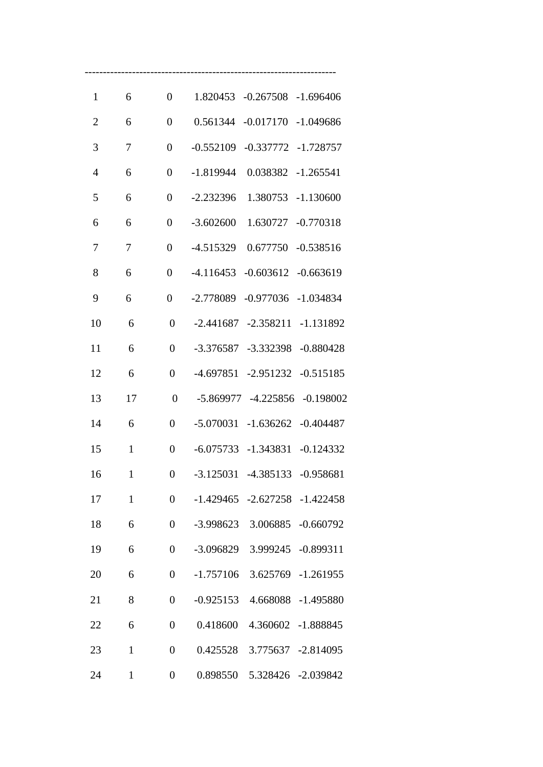| $\mathbf{1}$   | 6            | $\overline{0}$   | 1.820453<br>$-0.267508$<br>$-1.696406$    |
|----------------|--------------|------------------|-------------------------------------------|
| $\overline{2}$ | 6            | $\overline{0}$   | $-0.017170$<br>0.561344<br>$-1.049686$    |
| 3              | 7            | $\overline{0}$   | $-0.552109$<br>$-0.337772$<br>$-1.728757$ |
| $\overline{4}$ | 6            | $\overline{0}$   | -1.819944<br>0.038382<br>$-1.265541$      |
| 5              | 6            | $\overline{0}$   | $-2.232396$<br>1.380753<br>$-1.130600$    |
| 6              | 6            | $\overline{0}$   | $-3.602600$<br>1.630727<br>$-0.770318$    |
| 7              | 7            | $\overline{0}$   | -4.515329<br>0.677750<br>$-0.538516$      |
| 8              | 6            | $\overline{0}$   | $-4.116453$<br>$-0.603612$<br>$-0.663619$ |
| 9              | 6            | $\overline{0}$   | $-2.778089$<br>$-0.977036$<br>$-1.034834$ |
| 10             | 6            | $\overline{0}$   | $-2.441687$<br>$-2.358211$<br>$-1.131892$ |
| 11             | 6            | $\theta$         | $-3.376587$<br>$-3.332398$<br>$-0.880428$ |
| 12             | 6            | $\overline{0}$   | $-0.515185$<br>$-4.697851$<br>$-2.951232$ |
| 13             | 17           | $\overline{0}$   | $-5.869977$<br>$-4.225856$<br>$-0.198002$ |
| 14             | 6            | $\theta$         | $-5.070031$<br>$-1.636262$<br>$-0.404487$ |
| 15             | $\mathbf{1}$ | $\overline{0}$   | $-6.075733$<br>$-1.343831$<br>$-0.124332$ |
| 16             | $\mathbf{1}$ | $\overline{0}$   | $-3.125031$<br>$-4.385133$<br>$-0.958681$ |
| 17             | $\mathbf{1}$ | $\overline{0}$   | $-1.429465$ $-2.627258$ $-1.422458$       |
| 18             | 6            | $\boldsymbol{0}$ | 3.006885 -0.660792<br>$-3.998623$         |
| 19             | 6            | $\overline{0}$   | -3.096829<br>3.999245 -0.899311           |
| 20             | 6            | $\overline{0}$   | $-1.757106$ 3.625769 $-1.261955$          |
| 21             | 8            | $\overline{0}$   | $-0.925153$<br>4.668088 -1.495880         |
| 22             | 6            | $\boldsymbol{0}$ | 0.418600<br>4.360602 -1.888845            |
| 23             | $\mathbf{1}$ | $\overline{0}$   | 0.425528 3.775637 -2.814095               |
| 24             | $\mathbf{1}$ | $\boldsymbol{0}$ | 0.898550  5.328426  -2.039842             |

---------------------------------------------------------------------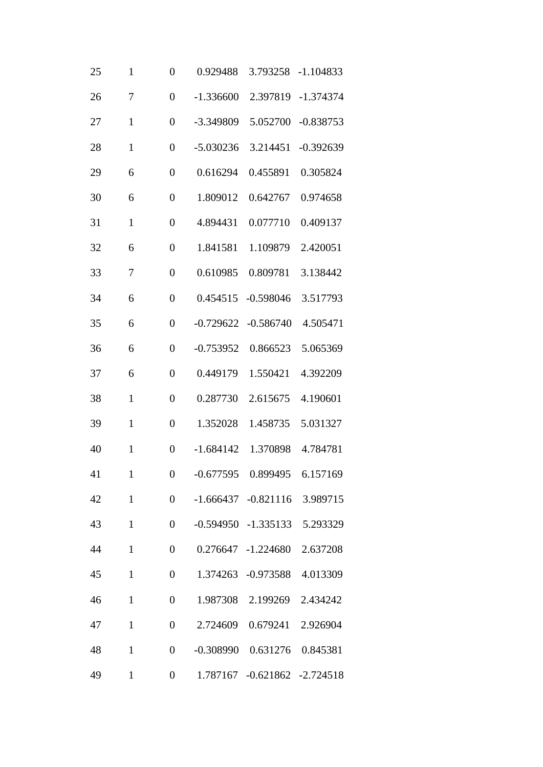| 25 | $\mathbf{1}$ | $\overline{0}$   | 0.929488    | 3.793258                      | $-1.104833$ |
|----|--------------|------------------|-------------|-------------------------------|-------------|
| 26 | 7            | $\overline{0}$   | $-1.336600$ | 2.397819                      | $-1.374374$ |
| 27 | $\mathbf{1}$ | $\overline{0}$   | -3.349809   | 5.052700                      | $-0.838753$ |
| 28 | $\mathbf{1}$ | $\overline{0}$   | $-5.030236$ | 3.214451                      | $-0.392639$ |
| 29 | 6            | $\overline{0}$   | 0.616294    | 0.455891                      | 0.305824    |
| 30 | 6            | $\overline{0}$   | 1.809012    | 0.642767                      | 0.974658    |
| 31 | $\mathbf{1}$ | $\overline{0}$   | 4.894431    | 0.077710                      | 0.409137    |
| 32 | 6            | $\overline{0}$   | 1.841581    | 1.109879                      | 2.420051    |
| 33 | 7            | $\overline{0}$   | 0.610985    | 0.809781                      | 3.138442    |
| 34 | 6            | $\overline{0}$   | 0.454515    | $-0.598046$                   | 3.517793    |
| 35 | 6            | $\overline{0}$   | $-0.729622$ | $-0.586740$                   | 4.505471    |
| 36 | 6            | $\overline{0}$   | $-0.753952$ | 0.866523                      | 5.065369    |
| 37 | 6            | $\overline{0}$   | 0.449179    | 1.550421                      | 4.392209    |
| 38 | $\mathbf{1}$ | $\overline{0}$   | 0.287730    | 2.615675                      | 4.190601    |
| 39 | $\mathbf{1}$ | $\overline{0}$   | 1.352028    | 1.458735                      | 5.031327    |
| 40 | $\mathbf{1}$ | $\overline{0}$   | $-1.684142$ | 1.370898                      | 4.784781    |
| 41 | $\mathbf{1}$ | $\boldsymbol{0}$ |             | -0.677595  0.899495  6.157169 |             |
| 42 | $\mathbf{1}$ | $\boldsymbol{0}$ |             | $-1.666437 -0.821116$         | 3.989715    |
| 43 | $\mathbf{1}$ | $\overline{0}$   |             | -0.594950 -1.335133 5.293329  |             |
| 44 | $\mathbf{1}$ | $\overline{0}$   |             | 0.276647 -1.224680            | 2.637208    |
| 45 | $\mathbf{1}$ | $\overline{0}$   | 1.374263    | $-0.973588$                   | 4.013309    |
| 46 | $\mathbf{1}$ | $\overline{0}$   | 1.987308    | 2.199269                      | 2.434242    |
| 47 | $\mathbf{1}$ | $\overline{0}$   | 2.724609    | 0.679241                      | 2.926904    |
| 48 | $\mathbf{1}$ | $\overline{0}$   | $-0.308990$ | 0.631276                      | 0.845381    |
| 49 | $\mathbf{1}$ | $\boldsymbol{0}$ |             | 1.787167 -0.621862 -2.724518  |             |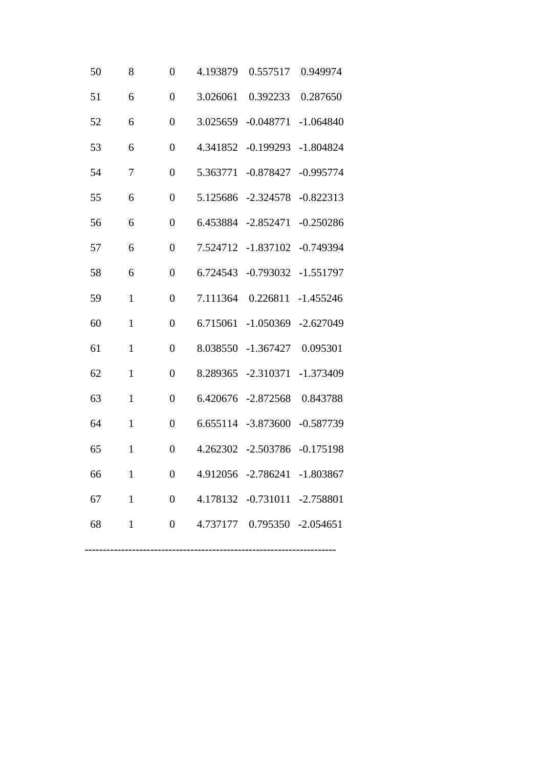| 50 | 8            | $\overline{0}$   | 4.193879 | 0.557517                      | 0.949974    |
|----|--------------|------------------|----------|-------------------------------|-------------|
| 51 | 6            | $\overline{0}$   | 3.026061 | 0.392233                      | 0.287650    |
| 52 | 6            | $\overline{0}$   | 3.025659 | $-0.048771$                   | $-1.064840$ |
| 53 | 6            | $\overline{0}$   | 4.341852 | $-0.199293$                   | $-1.804824$ |
| 54 | 7            | $\overline{0}$   | 5.363771 | $-0.878427$                   | $-0.995774$ |
| 55 | 6            | $\overline{0}$   | 5.125686 | $-2.324578$                   | $-0.822313$ |
| 56 | 6            | $\overline{0}$   | 6.453884 | $-2.852471$                   | $-0.250286$ |
| 57 | 6            | $\overline{0}$   | 7.524712 | $-1.837102$                   | $-0.749394$ |
| 58 | 6            | $\overline{0}$   | 6.724543 | $-0.793032$                   | $-1.551797$ |
| 59 | $\mathbf{1}$ | $\overline{0}$   | 7.111364 | 0.226811                      | $-1.455246$ |
| 60 | $\mathbf{1}$ | $\overline{0}$   | 6.715061 | $-1.050369$                   | $-2.627049$ |
| 61 | $\mathbf{1}$ | $\overline{0}$   | 8.038550 | $-1.367427$                   | 0.095301    |
| 62 | $\mathbf{1}$ | $\overline{0}$   | 8.289365 | $-2.310371$                   | $-1.373409$ |
| 63 | $\mathbf{1}$ | $\overline{0}$   | 6.420676 | $-2.872568$                   | 0.843788    |
| 64 | $\mathbf{1}$ | $\overline{0}$   | 6.655114 | $-3.873600$                   | $-0.587739$ |
| 65 | $\mathbf{1}$ | $\overline{0}$   | 4.262302 | $-2.503786$                   | $-0.175198$ |
| 66 | $\mathbf{1}$ | $\boldsymbol{0}$ |          | 4.912056 -2.786241 -1.803867  |             |
| 67 | $\mathbf{1}$ | $\boldsymbol{0}$ |          | 4.178132 -0.731011 -2.758801  |             |
| 68 | $\mathbf{1}$ | $\overline{0}$   |          | 4.737177  0.795350  -2.054651 |             |
|    |              |                  |          |                               |             |

---------------------------------------------------------------------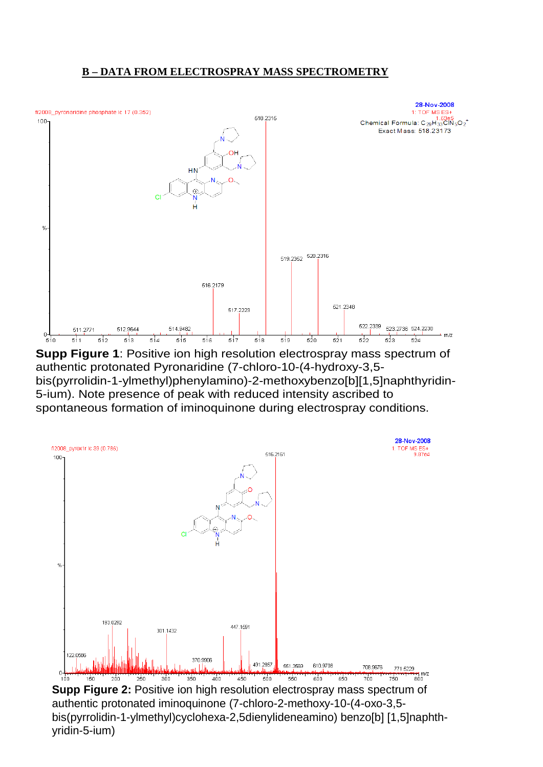### **B – DATA FROM ELECTROSPRAY MASS SPECTROMETRY**



**Supp Figure 1**: Positive ion high resolution electrospray mass spectrum of authentic protonated Pyronaridine (7-chloro-10-(4-hydroxy-3,5 bis(pyrrolidin-1-ylmethyl)phenylamino)-2-methoxybenzo[b][1,5]naphthyridin-5-ium). Note presence of peak with reduced intensity ascribed to spontaneous formation of iminoquinone during electrospray conditions.



**Supp Figure 2:** Positive ion high resolution electrospray mass spectrum of authentic protonated iminoquinone (7-chloro-2-methoxy-10-(4-oxo-3,5 bis(pyrrolidin-1-ylmethyl)cyclohexa-2,5dienylideneamino) benzo[b] [1,5]naphthyridin-5-ium)